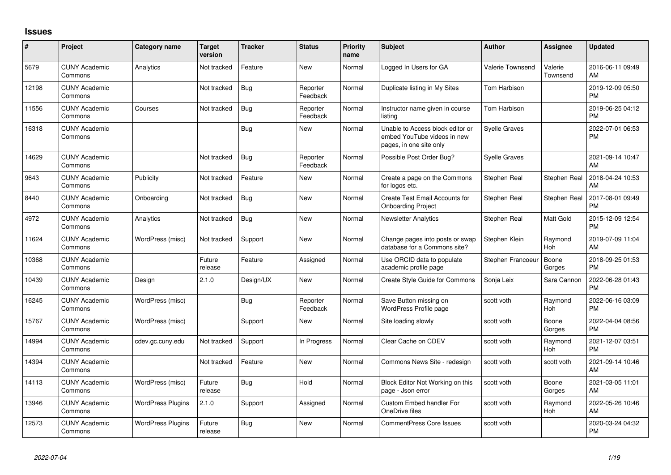## **Issues**

| #     | Project                         | <b>Category name</b>     | <b>Target</b><br>version | <b>Tracker</b> | <b>Status</b>        | Priority<br>name | <b>Subject</b>                                                                             | <b>Author</b>        | <b>Assignee</b>     | <b>Updated</b>                |
|-------|---------------------------------|--------------------------|--------------------------|----------------|----------------------|------------------|--------------------------------------------------------------------------------------------|----------------------|---------------------|-------------------------------|
| 5679  | <b>CUNY Academic</b><br>Commons | Analytics                | Not tracked              | Feature        | <b>New</b>           | Normal           | Logged In Users for GA                                                                     | Valerie Townsend     | Valerie<br>Townsend | 2016-06-11 09:49<br>AM        |
| 12198 | <b>CUNY Academic</b><br>Commons |                          | Not tracked              | Bug            | Reporter<br>Feedback | Normal           | Duplicate listing in My Sites                                                              | <b>Tom Harbison</b>  |                     | 2019-12-09 05:50<br><b>PM</b> |
| 11556 | <b>CUNY Academic</b><br>Commons | Courses                  | Not tracked              | Bug            | Reporter<br>Feedback | Normal           | Instructor name given in course<br>listing                                                 | <b>Tom Harbison</b>  |                     | 2019-06-25 04:12<br><b>PM</b> |
| 16318 | <b>CUNY Academic</b><br>Commons |                          |                          | <b>Bug</b>     | <b>New</b>           | Normal           | Unable to Access block editor or<br>embed YouTube videos in new<br>pages, in one site only | <b>Syelle Graves</b> |                     | 2022-07-01 06:53<br><b>PM</b> |
| 14629 | <b>CUNY Academic</b><br>Commons |                          | Not tracked              | <b>Bug</b>     | Reporter<br>Feedback | Normal           | Possible Post Order Bug?                                                                   | <b>Syelle Graves</b> |                     | 2021-09-14 10:47<br>AM        |
| 9643  | <b>CUNY Academic</b><br>Commons | Publicity                | Not tracked              | Feature        | <b>New</b>           | Normal           | Create a page on the Commons<br>for logos etc.                                             | Stephen Real         | Stephen Real        | 2018-04-24 10:53<br>AM        |
| 8440  | <b>CUNY Academic</b><br>Commons | Onboarding               | Not tracked              | Bug            | <b>New</b>           | Normal           | Create Test Email Accounts for<br><b>Onboarding Project</b>                                | Stephen Real         | Stephen Real        | 2017-08-01 09:49<br><b>PM</b> |
| 4972  | <b>CUNY Academic</b><br>Commons | Analytics                | Not tracked              | Bug            | <b>New</b>           | Normal           | <b>Newsletter Analytics</b>                                                                | Stephen Real         | Matt Gold           | 2015-12-09 12:54<br><b>PM</b> |
| 11624 | <b>CUNY Academic</b><br>Commons | WordPress (misc)         | Not tracked              | Support        | <b>New</b>           | Normal           | Change pages into posts or swap<br>database for a Commons site?                            | Stephen Klein        | Raymond<br>Hoh      | 2019-07-09 11:04<br>AM        |
| 10368 | <b>CUNY Academic</b><br>Commons |                          | Future<br>release        | Feature        | Assigned             | Normal           | Use ORCID data to populate<br>academic profile page                                        | Stephen Francoeur    | Boone<br>Gorges     | 2018-09-25 01:53<br><b>PM</b> |
| 10439 | <b>CUNY Academic</b><br>Commons | Design                   | 2.1.0                    | Design/UX      | <b>New</b>           | Normal           | Create Style Guide for Commons                                                             | Sonja Leix           | Sara Cannon         | 2022-06-28 01:43<br><b>PM</b> |
| 16245 | <b>CUNY Academic</b><br>Commons | WordPress (misc)         |                          | Bug            | Reporter<br>Feedback | Normal           | Save Button missing on<br>WordPress Profile page                                           | scott voth           | Raymond<br>Hoh      | 2022-06-16 03:09<br><b>PM</b> |
| 15767 | <b>CUNY Academic</b><br>Commons | WordPress (misc)         |                          | Support        | <b>New</b>           | Normal           | Site loading slowly                                                                        | scott voth           | Boone<br>Gorges     | 2022-04-04 08:56<br><b>PM</b> |
| 14994 | <b>CUNY Academic</b><br>Commons | cdev.gc.cuny.edu         | Not tracked              | Support        | In Progress          | Normal           | Clear Cache on CDEV                                                                        | scott voth           | Raymond<br>Hoh      | 2021-12-07 03:51<br><b>PM</b> |
| 14394 | <b>CUNY Academic</b><br>Commons |                          | Not tracked              | Feature        | <b>New</b>           | Normal           | Commons News Site - redesign                                                               | scott voth           | scott voth          | 2021-09-14 10:46<br>AM        |
| 14113 | <b>CUNY Academic</b><br>Commons | WordPress (misc)         | Future<br>release        | Bug            | Hold                 | Normal           | Block Editor Not Working on this<br>page - Json error                                      | scott voth           | Boone<br>Gorges     | 2021-03-05 11:01<br>AM        |
| 13946 | <b>CUNY Academic</b><br>Commons | <b>WordPress Plugins</b> | 2.1.0                    | Support        | Assigned             | Normal           | Custom Embed handler For<br>OneDrive files                                                 | scott voth           | Raymond<br>Hoh      | 2022-05-26 10:46<br>AM        |
| 12573 | <b>CUNY Academic</b><br>Commons | <b>WordPress Plugins</b> | Future<br>release        | <b>Bug</b>     | <b>New</b>           | Normal           | <b>CommentPress Core Issues</b>                                                            | scott voth           |                     | 2020-03-24 04:32<br><b>PM</b> |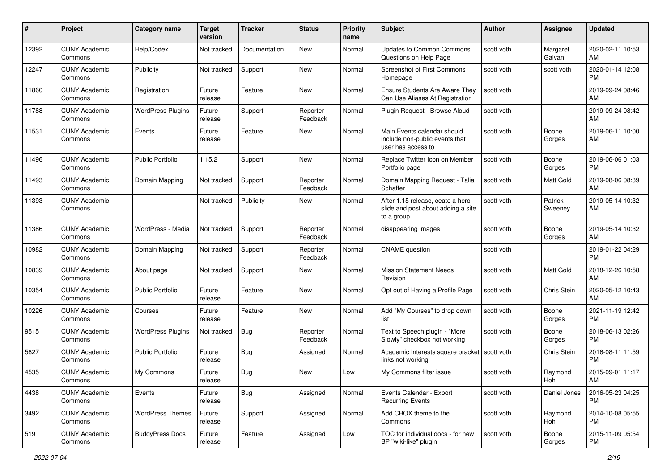| #     | Project                         | <b>Category name</b>     | <b>Target</b><br>version | <b>Tracker</b> | <b>Status</b>        | Priority<br>name | <b>Subject</b>                                                                       | Author     | <b>Assignee</b>    | <b>Updated</b>                |
|-------|---------------------------------|--------------------------|--------------------------|----------------|----------------------|------------------|--------------------------------------------------------------------------------------|------------|--------------------|-------------------------------|
| 12392 | <b>CUNY Academic</b><br>Commons | Help/Codex               | Not tracked              | Documentation  | <b>New</b>           | Normal           | <b>Updates to Common Commons</b><br>Questions on Help Page                           | scott voth | Margaret<br>Galvan | 2020-02-11 10:53<br>AM        |
| 12247 | <b>CUNY Academic</b><br>Commons | Publicity                | Not tracked              | Support        | New                  | Normal           | Screenshot of First Commons<br>Homepage                                              | scott voth | scott voth         | 2020-01-14 12:08<br><b>PM</b> |
| 11860 | <b>CUNY Academic</b><br>Commons | Registration             | Future<br>release        | Feature        | <b>New</b>           | Normal           | <b>Ensure Students Are Aware They</b><br>Can Use Aliases At Registration             | scott voth |                    | 2019-09-24 08:46<br>AM        |
| 11788 | <b>CUNY Academic</b><br>Commons | <b>WordPress Plugins</b> | Future<br>release        | Support        | Reporter<br>Feedback | Normal           | Plugin Request - Browse Aloud                                                        | scott voth |                    | 2019-09-24 08:42<br>AM        |
| 11531 | <b>CUNY Academic</b><br>Commons | Events                   | Future<br>release        | Feature        | New                  | Normal           | Main Events calendar should<br>include non-public events that<br>user has access to  | scott voth | Boone<br>Gorges    | 2019-06-11 10:00<br>AM        |
| 11496 | <b>CUNY Academic</b><br>Commons | Public Portfolio         | 1.15.2                   | Support        | <b>New</b>           | Normal           | Replace Twitter Icon on Member<br>Portfolio page                                     | scott voth | Boone<br>Gorges    | 2019-06-06 01:03<br><b>PM</b> |
| 11493 | <b>CUNY Academic</b><br>Commons | Domain Mapping           | Not tracked              | Support        | Reporter<br>Feedback | Normal           | Domain Mapping Request - Talia<br>Schaffer                                           | scott voth | Matt Gold          | 2019-08-06 08:39<br>AM        |
| 11393 | <b>CUNY Academic</b><br>Commons |                          | Not tracked              | Publicity      | New                  | Normal           | After 1.15 release, ceate a hero<br>slide and post about adding a site<br>to a group | scott voth | Patrick<br>Sweeney | 2019-05-14 10:32<br>AM        |
| 11386 | <b>CUNY Academic</b><br>Commons | WordPress - Media        | Not tracked              | Support        | Reporter<br>Feedback | Normal           | disappearing images                                                                  | scott voth | Boone<br>Gorges    | 2019-05-14 10:32<br>AM        |
| 10982 | <b>CUNY Academic</b><br>Commons | Domain Mapping           | Not tracked              | Support        | Reporter<br>Feedback | Normal           | <b>CNAME</b> question                                                                | scott voth |                    | 2019-01-22 04:29<br><b>PM</b> |
| 10839 | <b>CUNY Academic</b><br>Commons | About page               | Not tracked              | Support        | New                  | Normal           | <b>Mission Statement Needs</b><br>Revision                                           | scott voth | Matt Gold          | 2018-12-26 10:58<br>AM        |
| 10354 | <b>CUNY Academic</b><br>Commons | <b>Public Portfolio</b>  | Future<br>release        | Feature        | New                  | Normal           | Opt out of Having a Profile Page                                                     | scott voth | Chris Stein        | 2020-05-12 10:43<br>AM        |
| 10226 | <b>CUNY Academic</b><br>Commons | Courses                  | Future<br>release        | Feature        | <b>New</b>           | Normal           | Add "My Courses" to drop down<br>list                                                | scott voth | Boone<br>Gorges    | 2021-11-19 12:42<br><b>PM</b> |
| 9515  | <b>CUNY Academic</b><br>Commons | <b>WordPress Plugins</b> | Not tracked              | Bug            | Reporter<br>Feedback | Normal           | Text to Speech plugin - "More<br>Slowly" checkbox not working                        | scott voth | Boone<br>Gorges    | 2018-06-13 02:26<br><b>PM</b> |
| 5827  | <b>CUNY Academic</b><br>Commons | <b>Public Portfolio</b>  | Future<br>release        | <b>Bug</b>     | Assigned             | Normal           | Academic Interests square bracket   scott voth<br>links not working                  |            | Chris Stein        | 2016-08-11 11:59<br><b>PM</b> |
| 4535  | <b>CUNY Academic</b><br>Commons | My Commons               | Future<br>release        | Bug            | New                  | Low              | My Commons filter issue                                                              | scott voth | Raymond<br>Hoh     | 2015-09-01 11:17<br>AM        |
| 4438  | <b>CUNY Academic</b><br>Commons | Events                   | Future<br>release        | Bug            | Assigned             | Normal           | Events Calendar - Export<br><b>Recurring Events</b>                                  | scott voth | Daniel Jones       | 2016-05-23 04:25<br><b>PM</b> |
| 3492  | <b>CUNY Academic</b><br>Commons | <b>WordPress Themes</b>  | Future<br>release        | Support        | Assigned             | Normal           | Add CBOX theme to the<br>Commons                                                     | scott voth | Raymond<br>Hoh     | 2014-10-08 05:55<br><b>PM</b> |
| 519   | <b>CUNY Academic</b><br>Commons | <b>BuddyPress Docs</b>   | Future<br>release        | Feature        | Assigned             | Low              | TOC for individual docs - for new<br>BP "wiki-like" plugin                           | scott voth | Boone<br>Gorges    | 2015-11-09 05:54<br><b>PM</b> |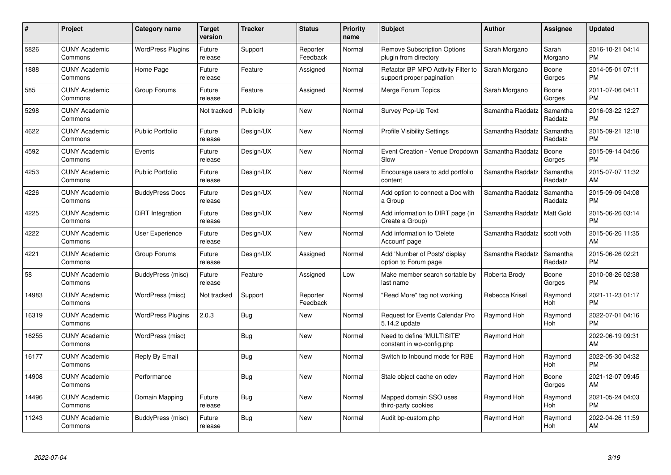| #     | <b>Project</b>                  | Category name            | Target<br>version | <b>Tracker</b> | <b>Status</b>        | <b>Priority</b><br>name | <b>Subject</b>                                                  | <b>Author</b>    | Assignee            | <b>Updated</b>                |
|-------|---------------------------------|--------------------------|-------------------|----------------|----------------------|-------------------------|-----------------------------------------------------------------|------------------|---------------------|-------------------------------|
| 5826  | <b>CUNY Academic</b><br>Commons | <b>WordPress Plugins</b> | Future<br>release | Support        | Reporter<br>Feedback | Normal                  | <b>Remove Subscription Options</b><br>plugin from directory     | Sarah Morgano    | Sarah<br>Morgano    | 2016-10-21 04:14<br><b>PM</b> |
| 1888  | <b>CUNY Academic</b><br>Commons | Home Page                | Future<br>release | Feature        | Assigned             | Normal                  | Refactor BP MPO Activity Filter to<br>support proper pagination | Sarah Morgano    | Boone<br>Gorges     | 2014-05-01 07:11<br>PM.       |
| 585   | <b>CUNY Academic</b><br>Commons | Group Forums             | Future<br>release | Feature        | Assigned             | Normal                  | Merge Forum Topics                                              | Sarah Morgano    | Boone<br>Gorges     | 2011-07-06 04:11<br><b>PM</b> |
| 5298  | <b>CUNY Academic</b><br>Commons |                          | Not tracked       | Publicity      | New                  | Normal                  | Survey Pop-Up Text                                              | Samantha Raddatz | Samantha<br>Raddatz | 2016-03-22 12:27<br><b>PM</b> |
| 4622  | <b>CUNY Academic</b><br>Commons | <b>Public Portfolio</b>  | Future<br>release | Design/UX      | <b>New</b>           | Normal                  | <b>Profile Visibility Settings</b>                              | Samantha Raddatz | Samantha<br>Raddatz | 2015-09-21 12:18<br><b>PM</b> |
| 4592  | <b>CUNY Academic</b><br>Commons | Events                   | Future<br>release | Design/UX      | <b>New</b>           | Normal                  | Event Creation - Venue Dropdown<br>Slow                         | Samantha Raddatz | Boone<br>Gorges     | 2015-09-14 04:56<br><b>PM</b> |
| 4253  | <b>CUNY Academic</b><br>Commons | <b>Public Portfolio</b>  | Future<br>release | Design/UX      | New                  | Normal                  | Encourage users to add portfolio<br>content                     | Samantha Raddatz | Samantha<br>Raddatz | 2015-07-07 11:32<br><b>AM</b> |
| 4226  | <b>CUNY Academic</b><br>Commons | <b>BuddyPress Docs</b>   | Future<br>release | Design/UX      | <b>New</b>           | Normal                  | Add option to connect a Doc with<br>a Group                     | Samantha Raddatz | Samantha<br>Raddatz | 2015-09-09 04:08<br><b>PM</b> |
| 4225  | <b>CUNY Academic</b><br>Commons | <b>DiRT</b> Integration  | Future<br>release | Design/UX      | New                  | Normal                  | Add information to DIRT page (in<br>Create a Group)             | Samantha Raddatz | Matt Gold           | 2015-06-26 03:14<br><b>PM</b> |
| 4222  | <b>CUNY Academic</b><br>Commons | <b>User Experience</b>   | Future<br>release | Design/UX      | <b>New</b>           | Normal                  | Add information to 'Delete<br>Account' page                     | Samantha Raddatz | scott voth          | 2015-06-26 11:35<br>AM        |
| 4221  | <b>CUNY Academic</b><br>Commons | Group Forums             | Future<br>release | Design/UX      | Assigned             | Normal                  | Add 'Number of Posts' display<br>option to Forum page           | Samantha Raddatz | Samantha<br>Raddatz | 2015-06-26 02:21<br><b>PM</b> |
| 58    | <b>CUNY Academic</b><br>Commons | BuddyPress (misc)        | Future<br>release | Feature        | Assigned             | Low                     | Make member search sortable by<br>last name                     | Roberta Brody    | Boone<br>Gorges     | 2010-08-26 02:38<br><b>PM</b> |
| 14983 | <b>CUNY Academic</b><br>Commons | WordPress (misc)         | Not tracked       | Support        | Reporter<br>Feedback | Normal                  | "Read More" tag not working                                     | Rebecca Krisel   | Raymond<br>Hoh      | 2021-11-23 01:17<br><b>PM</b> |
| 16319 | <b>CUNY Academic</b><br>Commons | <b>WordPress Plugins</b> | 2.0.3             | Bug            | New                  | Normal                  | Request for Events Calendar Pro<br>5.14.2 update                | Raymond Hoh      | Raymond<br>Hoh      | 2022-07-01 04:16<br><b>PM</b> |
| 16255 | <b>CUNY Academic</b><br>Commons | WordPress (misc)         |                   | Bug            | New                  | Normal                  | Need to define 'MULTISITE'<br>constant in wp-config.php         | Raymond Hoh      |                     | 2022-06-19 09:31<br>AM        |
| 16177 | <b>CUNY Academic</b><br>Commons | Reply By Email           |                   | Bug            | New                  | Normal                  | Switch to Inbound mode for RBE                                  | Raymond Hoh      | Raymond<br>Hoh      | 2022-05-30 04:32<br><b>PM</b> |
| 14908 | <b>CUNY Academic</b><br>Commons | Performance              |                   | Bug            | New                  | Normal                  | Stale object cache on cdev                                      | Raymond Hoh      | Boone<br>Gorges     | 2021-12-07 09:45<br>AM        |
| 14496 | <b>CUNY Academic</b><br>Commons | Domain Mapping           | Future<br>release | <b>Bug</b>     | <b>New</b>           | Normal                  | Mapped domain SSO uses<br>third-party cookies                   | Raymond Hoh      | Raymond<br>Hoh      | 2021-05-24 04:03<br><b>PM</b> |
| 11243 | <b>CUNY Academic</b><br>Commons | BuddyPress (misc)        | Future<br>release | Bug            | <b>New</b>           | Normal                  | Audit bp-custom.php                                             | Raymond Hoh      | Raymond<br>Hoh      | 2022-04-26 11:59<br>AM        |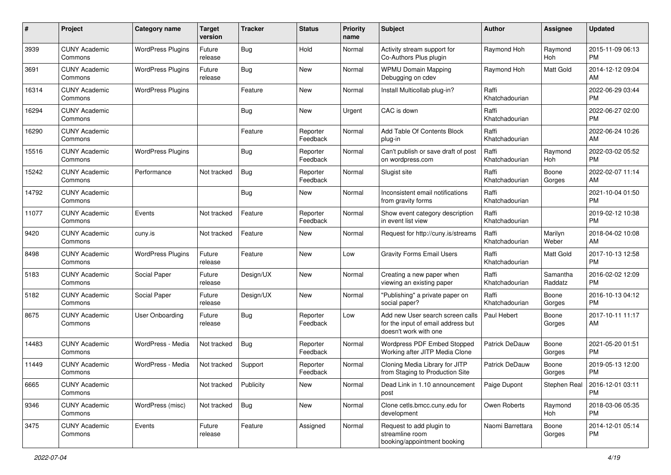| #     | Project                         | <b>Category name</b>     | <b>Target</b><br>version | <b>Tracker</b> | <b>Status</b>        | Priority<br>name | <b>Subject</b>                                                                                  | Author                  | <b>Assignee</b>     | <b>Updated</b>                               |
|-------|---------------------------------|--------------------------|--------------------------|----------------|----------------------|------------------|-------------------------------------------------------------------------------------------------|-------------------------|---------------------|----------------------------------------------|
| 3939  | <b>CUNY Academic</b><br>Commons | <b>WordPress Plugins</b> | Future<br>release        | <b>Bug</b>     | Hold                 | Normal           | Activity stream support for<br>Co-Authors Plus plugin                                           | Raymond Hoh             | Raymond<br>Hoh      | 2015-11-09 06:13<br><b>PM</b>                |
| 3691  | <b>CUNY Academic</b><br>Commons | <b>WordPress Plugins</b> | Future<br>release        | Bug            | New                  | Normal           | <b>WPMU Domain Mapping</b><br>Debugging on cdev                                                 | Raymond Hoh             | Matt Gold           | 2014-12-12 09:04<br>AM                       |
| 16314 | <b>CUNY Academic</b><br>Commons | <b>WordPress Plugins</b> |                          | Feature        | New                  | Normal           | Install Multicollab plug-in?                                                                    | Raffi<br>Khatchadourian |                     | 2022-06-29 03:44<br><b>PM</b>                |
| 16294 | <b>CUNY Academic</b><br>Commons |                          |                          | <b>Bug</b>     | New                  | Urgent           | CAC is down                                                                                     | Raffi<br>Khatchadourian |                     | 2022-06-27 02:00<br><b>PM</b>                |
| 16290 | <b>CUNY Academic</b><br>Commons |                          |                          | Feature        | Reporter<br>Feedback | Normal           | Add Table Of Contents Block<br>plug-in                                                          | Raffi<br>Khatchadourian |                     | 2022-06-24 10:26<br>AM                       |
| 15516 | <b>CUNY Academic</b><br>Commons | <b>WordPress Plugins</b> |                          | Bug            | Reporter<br>Feedback | Normal           | Can't publish or save draft of post<br>on wordpress.com                                         | Raffi<br>Khatchadourian | Raymond<br>Hoh      | 2022-03-02 05:52<br><b>PM</b>                |
| 15242 | <b>CUNY Academic</b><br>Commons | Performance              | Not tracked              | Bug            | Reporter<br>Feedback | Normal           | Slugist site                                                                                    | Raffi<br>Khatchadourian | Boone<br>Gorges     | 2022-02-07 11:14<br>AM                       |
| 14792 | <b>CUNY Academic</b><br>Commons |                          |                          | Bug            | New                  | Normal           | Inconsistent email notifications<br>from gravity forms                                          | Raffi<br>Khatchadourian |                     | 2021-10-04 01:50<br><b>PM</b>                |
| 11077 | <b>CUNY Academic</b><br>Commons | Events                   | Not tracked              | Feature        | Reporter<br>Feedback | Normal           | Show event category description<br>in event list view                                           | Raffi<br>Khatchadourian |                     | 2019-02-12 10:38<br><b>PM</b>                |
| 9420  | <b>CUNY Academic</b><br>Commons | cuny.is                  | Not tracked              | Feature        | New                  | Normal           | Request for http://cuny.is/streams                                                              | Raffi<br>Khatchadourian | Marilyn<br>Weber    | 2018-04-02 10:08<br>AM                       |
| 8498  | <b>CUNY Academic</b><br>Commons | <b>WordPress Plugins</b> | Future<br>release        | Feature        | New                  | Low              | <b>Gravity Forms Email Users</b>                                                                | Raffi<br>Khatchadourian | Matt Gold           | 2017-10-13 12:58<br><b>PM</b>                |
| 5183  | <b>CUNY Academic</b><br>Commons | Social Paper             | Future<br>release        | Design/UX      | New                  | Normal           | Creating a new paper when<br>viewing an existing paper                                          | Raffi<br>Khatchadourian | Samantha<br>Raddatz | 2016-02-02 12:09<br><b>PM</b>                |
| 5182  | <b>CUNY Academic</b><br>Commons | Social Paper             | Future<br>release        | Design/UX      | New                  | Normal           | "Publishing" a private paper on<br>social paper?                                                | Raffi<br>Khatchadourian | Boone<br>Gorges     | 2016-10-13 04:12<br><b>PM</b>                |
| 8675  | <b>CUNY Academic</b><br>Commons | User Onboarding          | Future<br>release        | Bug            | Reporter<br>Feedback | Low              | Add new User search screen calls<br>for the input of email address but<br>doesn't work with one | Paul Hebert             | Boone<br>Gorges     | 2017-10-11 11:17<br>AM                       |
| 14483 | <b>CUNY Academic</b><br>Commons | WordPress - Media        | Not tracked              | Bug            | Reporter<br>Feedback | Normal           | Wordpress PDF Embed Stopped<br>Working after JITP Media Clone                                   | Patrick DeDauw          | Boone<br>Gorges     | 2021-05-20 01:51<br><b>PM</b>                |
| 11449 | <b>CUNY Academic</b><br>Commons | WordPress - Media        | Not tracked              | Support        | Reporter<br>Feedback | Normal           | Cloning Media Library for JITP<br>from Staging to Production Site                               | Patrick DeDauw          | Boone<br>Gorges     | 2019-05-13 12:00<br><b>PM</b>                |
| 6665  | <b>CUNY Academic</b><br>Commons |                          | Not tracked              | Publicity      | New                  | Normal           | Dead Link in 1.10 announcement<br>post                                                          | Paige Dupont            |                     | Stephen Real   2016-12-01 03:11<br><b>PM</b> |
| 9346  | <b>CUNY Academic</b><br>Commons | WordPress (misc)         | Not tracked              | Bug            | New                  | Normal           | Clone cetls.bmcc.cuny.edu for<br>development                                                    | Owen Roberts            | Raymond<br>Hoh      | 2018-03-06 05:35<br><b>PM</b>                |
| 3475  | <b>CUNY Academic</b><br>Commons | Events                   | Future<br>release        | Feature        | Assigned             | Normal           | Request to add plugin to<br>streamline room<br>booking/appointment booking                      | Naomi Barrettara        | Boone<br>Gorges     | 2014-12-01 05:14<br><b>PM</b>                |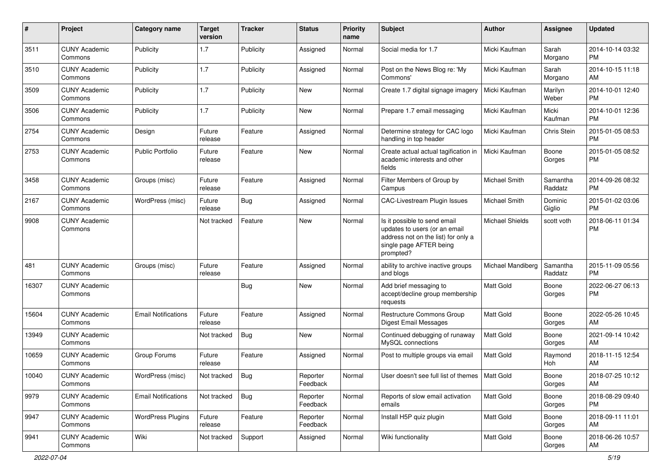| #     | Project                         | <b>Category name</b>       | <b>Target</b><br>version | <b>Tracker</b> | <b>Status</b>        | Priority<br>name | <b>Subject</b>                                                                                                                               | Author                 | <b>Assignee</b>     | <b>Updated</b>                |
|-------|---------------------------------|----------------------------|--------------------------|----------------|----------------------|------------------|----------------------------------------------------------------------------------------------------------------------------------------------|------------------------|---------------------|-------------------------------|
| 3511  | <b>CUNY Academic</b><br>Commons | Publicity                  | 1.7                      | Publicity      | Assigned             | Normal           | Social media for 1.7                                                                                                                         | Micki Kaufman          | Sarah<br>Morgano    | 2014-10-14 03:32<br><b>PM</b> |
| 3510  | <b>CUNY Academic</b><br>Commons | Publicity                  | 1.7                      | Publicity      | Assigned             | Normal           | Post on the News Blog re: 'My<br>Commons'                                                                                                    | Micki Kaufman          | Sarah<br>Morgano    | 2014-10-15 11:18<br>AM        |
| 3509  | <b>CUNY Academic</b><br>Commons | Publicity                  | 1.7                      | Publicity      | <b>New</b>           | Normal           | Create 1.7 digital signage imagery                                                                                                           | Micki Kaufman          | Marilyn<br>Weber    | 2014-10-01 12:40<br><b>PM</b> |
| 3506  | <b>CUNY Academic</b><br>Commons | Publicity                  | 1.7                      | Publicity      | New                  | Normal           | Prepare 1.7 email messaging                                                                                                                  | Micki Kaufman          | Micki<br>Kaufman    | 2014-10-01 12:36<br><b>PM</b> |
| 2754  | <b>CUNY Academic</b><br>Commons | Design                     | Future<br>release        | Feature        | Assigned             | Normal           | Determine strategy for CAC logo<br>handling in top header                                                                                    | Micki Kaufman          | Chris Stein         | 2015-01-05 08:53<br><b>PM</b> |
| 2753  | <b>CUNY Academic</b><br>Commons | <b>Public Portfolio</b>    | Future<br>release        | Feature        | New                  | Normal           | Create actual actual tagification in<br>academic interests and other<br>fields                                                               | Micki Kaufman          | Boone<br>Gorges     | 2015-01-05 08:52<br><b>PM</b> |
| 3458  | <b>CUNY Academic</b><br>Commons | Groups (misc)              | Future<br>release        | Feature        | Assigned             | Normal           | Filter Members of Group by<br>Campus                                                                                                         | Michael Smith          | Samantha<br>Raddatz | 2014-09-26 08:32<br><b>PM</b> |
| 2167  | <b>CUNY Academic</b><br>Commons | WordPress (misc)           | Future<br>release        | Bug            | Assigned             | Normal           | <b>CAC-Livestream Plugin Issues</b>                                                                                                          | Michael Smith          | Dominic<br>Giglio   | 2015-01-02 03:06<br><b>PM</b> |
| 9908  | <b>CUNY Academic</b><br>Commons |                            | Not tracked              | Feature        | New                  | Normal           | Is it possible to send email<br>updates to users (or an email<br>address not on the list) for only a<br>single page AFTER being<br>prompted? | <b>Michael Shields</b> | scott voth          | 2018-06-11 01:34<br><b>PM</b> |
| 481   | <b>CUNY Academic</b><br>Commons | Groups (misc)              | Future<br>release        | Feature        | Assigned             | Normal           | ability to archive inactive groups<br>and blogs                                                                                              | Michael Mandiberg      | Samantha<br>Raddatz | 2015-11-09 05:56<br><b>PM</b> |
| 16307 | <b>CUNY Academic</b><br>Commons |                            |                          | <b>Bug</b>     | New                  | Normal           | Add brief messaging to<br>accept/decline group membership<br>requests                                                                        | <b>Matt Gold</b>       | Boone<br>Gorges     | 2022-06-27 06:13<br><b>PM</b> |
| 15604 | <b>CUNY Academic</b><br>Commons | <b>Email Notifications</b> | Future<br>release        | Feature        | Assigned             | Normal           | Restructure Commons Group<br>Digest Email Messages                                                                                           | <b>Matt Gold</b>       | Boone<br>Gorges     | 2022-05-26 10:45<br>AM        |
| 13949 | <b>CUNY Academic</b><br>Commons |                            | Not tracked              | Bug            | <b>New</b>           | Normal           | Continued debugging of runaway<br>MySQL connections                                                                                          | <b>Matt Gold</b>       | Boone<br>Gorges     | 2021-09-14 10:42<br>AM        |
| 10659 | <b>CUNY Academic</b><br>Commons | Group Forums               | Future<br>release        | Feature        | Assigned             | Normal           | Post to multiple groups via email                                                                                                            | <b>Matt Gold</b>       | Raymond<br>Hoh      | 2018-11-15 12:54<br>AM        |
| 10040 | <b>CUNY Academic</b><br>Commons | WordPress (misc)           | Not tracked              | Bug            | Reporter<br>Feedback | Normal           | User doesn't see full list of themes   Matt Gold                                                                                             |                        | Boone<br>Gorges     | 2018-07-25 10:12<br>AM        |
| 9979  | <b>CUNY Academic</b><br>Commons | <b>Email Notifications</b> | Not tracked              | Bug            | Reporter<br>Feedback | Normal           | Reports of slow email activation<br>emails                                                                                                   | Matt Gold              | Boone<br>Gorges     | 2018-08-29 09:40<br><b>PM</b> |
| 9947  | <b>CUNY Academic</b><br>Commons | <b>WordPress Plugins</b>   | Future<br>release        | Feature        | Reporter<br>Feedback | Normal           | Install H5P quiz plugin                                                                                                                      | Matt Gold              | Boone<br>Gorges     | 2018-09-11 11:01<br>AM        |
| 9941  | <b>CUNY Academic</b><br>Commons | Wiki                       | Not tracked              | Support        | Assigned             | Normal           | Wiki functionality                                                                                                                           | Matt Gold              | Boone<br>Gorges     | 2018-06-26 10:57<br>AM        |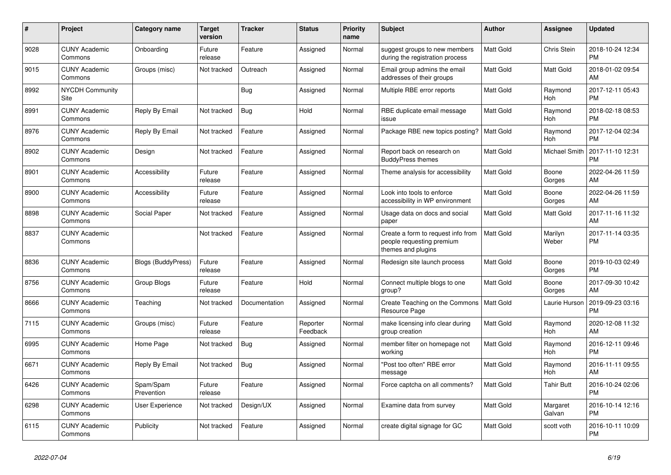| #    | <b>Project</b>                        | <b>Category name</b>      | <b>Target</b><br>version | <b>Tracker</b> | <b>Status</b>        | <b>Priority</b><br>name | <b>Subject</b>                                                                        | <b>Author</b>    | Assignee           | <b>Updated</b>                |
|------|---------------------------------------|---------------------------|--------------------------|----------------|----------------------|-------------------------|---------------------------------------------------------------------------------------|------------------|--------------------|-------------------------------|
| 9028 | <b>CUNY Academic</b><br>Commons       | Onboarding                | Future<br>release        | Feature        | Assigned             | Normal                  | suggest groups to new members<br>during the registration process                      | <b>Matt Gold</b> | Chris Stein        | 2018-10-24 12:34<br><b>PM</b> |
| 9015 | <b>CUNY Academic</b><br>Commons       | Groups (misc)             | Not tracked              | Outreach       | Assigned             | Normal                  | Email group admins the email<br>addresses of their groups                             | Matt Gold        | Matt Gold          | 2018-01-02 09:54<br>AM        |
| 8992 | <b>NYCDH Community</b><br><b>Site</b> |                           |                          | Bug            | Assigned             | Normal                  | Multiple RBE error reports                                                            | <b>Matt Gold</b> | Raymond<br>Hoh     | 2017-12-11 05:43<br><b>PM</b> |
| 8991 | <b>CUNY Academic</b><br>Commons       | Reply By Email            | Not tracked              | <b>Bug</b>     | Hold                 | Normal                  | RBE duplicate email message<br>issue                                                  | Matt Gold        | Raymond<br>Hoh     | 2018-02-18 08:53<br><b>PM</b> |
| 8976 | <b>CUNY Academic</b><br>Commons       | Reply By Email            | Not tracked              | Feature        | Assigned             | Normal                  | Package RBE new topics posting?                                                       | <b>Matt Gold</b> | Raymond<br>Hoh     | 2017-12-04 02:34<br><b>PM</b> |
| 8902 | <b>CUNY Academic</b><br>Commons       | Design                    | Not tracked              | Feature        | Assigned             | Normal                  | Report back on research on<br><b>BuddyPress themes</b>                                | Matt Gold        | Michael Smith      | 2017-11-10 12:31<br><b>PM</b> |
| 8901 | <b>CUNY Academic</b><br>Commons       | Accessibility             | Future<br>release        | Feature        | Assigned             | Normal                  | Theme analysis for accessibility                                                      | <b>Matt Gold</b> | Boone<br>Gorges    | 2022-04-26 11:59<br>AM        |
| 8900 | <b>CUNY Academic</b><br>Commons       | Accessibility             | Future<br>release        | Feature        | Assigned             | Normal                  | Look into tools to enforce<br>accessibility in WP environment                         | <b>Matt Gold</b> | Boone<br>Gorges    | 2022-04-26 11:59<br>AM        |
| 8898 | <b>CUNY Academic</b><br>Commons       | Social Paper              | Not tracked              | Feature        | Assigned             | Normal                  | Usage data on docs and social<br>paper                                                | Matt Gold        | Matt Gold          | 2017-11-16 11:32<br>AM        |
| 8837 | <b>CUNY Academic</b><br>Commons       |                           | Not tracked              | Feature        | Assigned             | Normal                  | Create a form to request info from<br>people requesting premium<br>themes and plugins | <b>Matt Gold</b> | Marilyn<br>Weber   | 2017-11-14 03:35<br><b>PM</b> |
| 8836 | <b>CUNY Academic</b><br>Commons       | <b>Blogs (BuddyPress)</b> | Future<br>release        | Feature        | Assigned             | Normal                  | Redesign site launch process                                                          | Matt Gold        | Boone<br>Gorges    | 2019-10-03 02:49<br><b>PM</b> |
| 8756 | <b>CUNY Academic</b><br>Commons       | Group Blogs               | Future<br>release        | Feature        | Hold                 | Normal                  | Connect multiple blogs to one<br>group?                                               | <b>Matt Gold</b> | Boone<br>Gorges    | 2017-09-30 10:42<br>AM        |
| 8666 | <b>CUNY Academic</b><br>Commons       | Teaching                  | Not tracked              | Documentation  | Assigned             | Normal                  | <b>Create Teaching on the Commons</b><br>Resource Page                                | <b>Matt Gold</b> | Laurie Hurson      | 2019-09-23 03:16<br><b>PM</b> |
| 7115 | <b>CUNY Academic</b><br>Commons       | Groups (misc)             | Future<br>release        | Feature        | Reporter<br>Feedback | Normal                  | make licensing info clear during<br>group creation                                    | Matt Gold        | Raymond<br>Hoh     | 2020-12-08 11:32<br>AM        |
| 6995 | <b>CUNY Academic</b><br>Commons       | Home Page                 | Not tracked              | <b>Bug</b>     | Assigned             | Normal                  | member filter on homepage not<br>working                                              | Matt Gold        | Raymond<br>Hoh     | 2016-12-11 09:46<br><b>PM</b> |
| 6671 | <b>CUNY Academic</b><br>Commons       | Reply By Email            | Not tracked              | Bug            | Assigned             | Normal                  | "Post too often" RBE error<br>message                                                 | <b>Matt Gold</b> | Raymond<br>Hoh     | 2016-11-11 09:55<br>AM        |
| 6426 | <b>CUNY Academic</b><br>Commons       | Spam/Spam<br>Prevention   | Future<br>release        | Feature        | Assigned             | Normal                  | Force captcha on all comments?                                                        | Matt Gold        | <b>Tahir Butt</b>  | 2016-10-24 02:06<br><b>PM</b> |
| 6298 | <b>CUNY Academic</b><br>Commons       | User Experience           | Not tracked              | Design/UX      | Assigned             | Normal                  | Examine data from survey                                                              | Matt Gold        | Margaret<br>Galvan | 2016-10-14 12:16<br><b>PM</b> |
| 6115 | <b>CUNY Academic</b><br>Commons       | Publicity                 | Not tracked              | Feature        | Assigned             | Normal                  | create digital signage for GC                                                         | <b>Matt Gold</b> | scott voth         | 2016-10-11 10:09<br><b>PM</b> |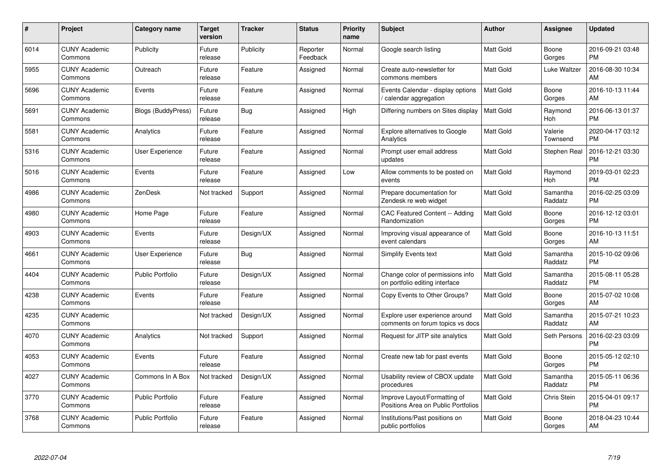| $\#$ | Project                         | <b>Category name</b>      | Target<br>version | <b>Tracker</b> | <b>Status</b>        | Priority<br>name | <b>Subject</b>                                                      | <b>Author</b>    | <b>Assignee</b>     | <b>Updated</b>                |
|------|---------------------------------|---------------------------|-------------------|----------------|----------------------|------------------|---------------------------------------------------------------------|------------------|---------------------|-------------------------------|
| 6014 | <b>CUNY Academic</b><br>Commons | Publicity                 | Future<br>release | Publicity      | Reporter<br>Feedback | Normal           | Google search listing                                               | <b>Matt Gold</b> | Boone<br>Gorges     | 2016-09-21 03:48<br><b>PM</b> |
| 5955 | <b>CUNY Academic</b><br>Commons | Outreach                  | Future<br>release | Feature        | Assigned             | Normal           | Create auto-newsletter for<br>commons members                       | <b>Matt Gold</b> | Luke Waltzer        | 2016-08-30 10:34<br>AM        |
| 5696 | <b>CUNY Academic</b><br>Commons | Events                    | Future<br>release | Feature        | Assigned             | Normal           | Events Calendar - display options<br>/ calendar aggregation         | Matt Gold        | Boone<br>Gorges     | 2016-10-13 11:44<br>AM        |
| 5691 | <b>CUNY Academic</b><br>Commons | <b>Blogs (BuddyPress)</b> | Future<br>release | Bug            | Assigned             | High             | Differing numbers on Sites display                                  | Matt Gold        | Raymond<br>Hoh      | 2016-06-13 01:37<br><b>PM</b> |
| 5581 | <b>CUNY Academic</b><br>Commons | Analytics                 | Future<br>release | Feature        | Assigned             | Normal           | <b>Explore alternatives to Google</b><br>Analytics                  | Matt Gold        | Valerie<br>Townsend | 2020-04-17 03:12<br><b>PM</b> |
| 5316 | <b>CUNY Academic</b><br>Commons | User Experience           | Future<br>release | Feature        | Assigned             | Normal           | Prompt user email address<br>updates                                | <b>Matt Gold</b> | Stephen Real        | 2016-12-21 03:30<br><b>PM</b> |
| 5016 | <b>CUNY Academic</b><br>Commons | Events                    | Future<br>release | Feature        | Assigned             | Low              | Allow comments to be posted on<br>events                            | <b>Matt Gold</b> | Raymond<br>Hoh      | 2019-03-01 02:23<br><b>PM</b> |
| 4986 | <b>CUNY Academic</b><br>Commons | ZenDesk                   | Not tracked       | Support        | Assigned             | Normal           | Prepare documentation for<br>Zendesk re web widget                  | <b>Matt Gold</b> | Samantha<br>Raddatz | 2016-02-25 03:09<br><b>PM</b> |
| 4980 | <b>CUNY Academic</b><br>Commons | Home Page                 | Future<br>release | Feature        | Assigned             | Normal           | CAC Featured Content -- Adding<br>Randomization                     | <b>Matt Gold</b> | Boone<br>Gorges     | 2016-12-12 03:01<br><b>PM</b> |
| 4903 | <b>CUNY Academic</b><br>Commons | Events                    | Future<br>release | Design/UX      | Assigned             | Normal           | Improving visual appearance of<br>event calendars                   | <b>Matt Gold</b> | Boone<br>Gorges     | 2016-10-13 11:51<br>AM        |
| 4661 | <b>CUNY Academic</b><br>Commons | User Experience           | Future<br>release | <b>Bug</b>     | Assigned             | Normal           | Simplify Events text                                                | Matt Gold        | Samantha<br>Raddatz | 2015-10-02 09:06<br><b>PM</b> |
| 4404 | <b>CUNY Academic</b><br>Commons | <b>Public Portfolio</b>   | Future<br>release | Design/UX      | Assigned             | Normal           | Change color of permissions info<br>on portfolio editing interface  | Matt Gold        | Samantha<br>Raddatz | 2015-08-11 05:28<br><b>PM</b> |
| 4238 | <b>CUNY Academic</b><br>Commons | Events                    | Future<br>release | Feature        | Assigned             | Normal           | Copy Events to Other Groups?                                        | Matt Gold        | Boone<br>Gorges     | 2015-07-02 10:08<br>AM        |
| 4235 | <b>CUNY Academic</b><br>Commons |                           | Not tracked       | Design/UX      | Assigned             | Normal           | Explore user experience around<br>comments on forum topics vs docs  | <b>Matt Gold</b> | Samantha<br>Raddatz | 2015-07-21 10:23<br>AM        |
| 4070 | <b>CUNY Academic</b><br>Commons | Analytics                 | Not tracked       | Support        | Assigned             | Normal           | Request for JITP site analytics                                     | Matt Gold        | Seth Persons        | 2016-02-23 03:09<br><b>PM</b> |
| 4053 | <b>CUNY Academic</b><br>Commons | Events                    | Future<br>release | Feature        | Assigned             | Normal           | Create new tab for past events                                      | Matt Gold        | Boone<br>Gorges     | 2015-05-12 02:10<br><b>PM</b> |
| 4027 | <b>CUNY Academic</b><br>Commons | Commons In A Box          | Not tracked       | Design/UX      | Assigned             | Normal           | Usability review of CBOX update<br>procedures                       | <b>Matt Gold</b> | Samantha<br>Raddatz | 2015-05-11 06:36<br><b>PM</b> |
| 3770 | <b>CUNY Academic</b><br>Commons | Public Portfolio          | Future<br>release | Feature        | Assigned             | Normal           | Improve Layout/Formatting of<br>Positions Area on Public Portfolios | Matt Gold        | Chris Stein         | 2015-04-01 09:17<br><b>PM</b> |
| 3768 | <b>CUNY Academic</b><br>Commons | <b>Public Portfolio</b>   | Future<br>release | Feature        | Assigned             | Normal           | Institutions/Past positions on<br>public portfolios                 | <b>Matt Gold</b> | Boone<br>Gorges     | 2018-04-23 10:44<br>AM        |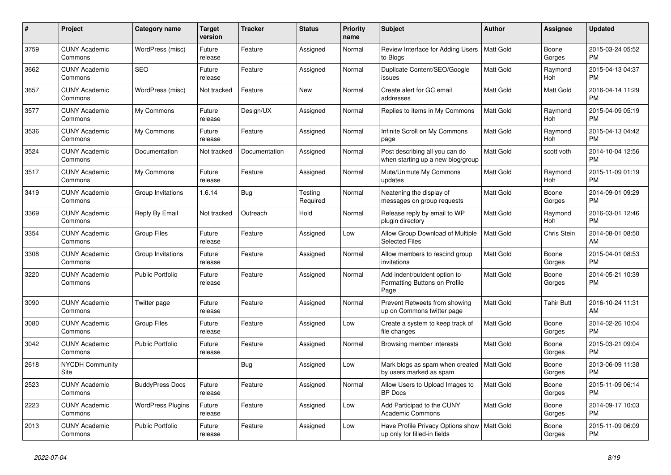| #    | Project                         | <b>Category name</b>     | <b>Target</b><br>version | <b>Tracker</b> | <b>Status</b>       | <b>Priority</b><br>name | <b>Subject</b>                                                        | <b>Author</b>    | Assignee        | <b>Updated</b>                |
|------|---------------------------------|--------------------------|--------------------------|----------------|---------------------|-------------------------|-----------------------------------------------------------------------|------------------|-----------------|-------------------------------|
| 3759 | <b>CUNY Academic</b><br>Commons | WordPress (misc)         | Future<br>release        | Feature        | Assigned            | Normal                  | Review Interface for Adding Users<br>to Blogs                         | Matt Gold        | Boone<br>Gorges | 2015-03-24 05:52<br><b>PM</b> |
| 3662 | <b>CUNY Academic</b><br>Commons | <b>SEO</b>               | Future<br>release        | Feature        | Assigned            | Normal                  | Duplicate Content/SEO/Google<br>issues                                | <b>Matt Gold</b> | Raymond<br>Hoh  | 2015-04-13 04:37<br><b>PM</b> |
| 3657 | <b>CUNY Academic</b><br>Commons | WordPress (misc)         | Not tracked              | Feature        | New                 | Normal                  | Create alert for GC email<br>addresses                                | Matt Gold        | Matt Gold       | 2016-04-14 11:29<br><b>PM</b> |
| 3577 | <b>CUNY Academic</b><br>Commons | My Commons               | Future<br>release        | Design/UX      | Assigned            | Normal                  | Replies to items in My Commons                                        | <b>Matt Gold</b> | Raymond<br>Hoh  | 2015-04-09 05:19<br><b>PM</b> |
| 3536 | <b>CUNY Academic</b><br>Commons | My Commons               | Future<br>release        | Feature        | Assigned            | Normal                  | Infinite Scroll on My Commons<br>page                                 | Matt Gold        | Raymond<br>Hoh  | 2015-04-13 04:42<br><b>PM</b> |
| 3524 | <b>CUNY Academic</b><br>Commons | Documentation            | Not tracked              | Documentation  | Assigned            | Normal                  | Post describing all you can do<br>when starting up a new blog/group   | Matt Gold        | scott voth      | 2014-10-04 12:56<br><b>PM</b> |
| 3517 | <b>CUNY Academic</b><br>Commons | My Commons               | Future<br>release        | Feature        | Assigned            | Normal                  | Mute/Unmute My Commons<br>updates                                     | <b>Matt Gold</b> | Raymond<br>Hoh  | 2015-11-09 01:19<br><b>PM</b> |
| 3419 | <b>CUNY Academic</b><br>Commons | Group Invitations        | 1.6.14                   | Bug            | Testing<br>Required | Normal                  | Neatening the display of<br>messages on group requests                | <b>Matt Gold</b> | Boone<br>Gorges | 2014-09-01 09:29<br><b>PM</b> |
| 3369 | <b>CUNY Academic</b><br>Commons | Reply By Email           | Not tracked              | Outreach       | Hold                | Normal                  | Release reply by email to WP<br>plugin directory                      | Matt Gold        | Raymond<br>Hoh  | 2016-03-01 12:46<br><b>PM</b> |
| 3354 | <b>CUNY Academic</b><br>Commons | <b>Group Files</b>       | Future<br>release        | Feature        | Assigned            | Low                     | Allow Group Download of Multiple<br><b>Selected Files</b>             | <b>Matt Gold</b> | Chris Stein     | 2014-08-01 08:50<br>AM        |
| 3308 | <b>CUNY Academic</b><br>Commons | Group Invitations        | Future<br>release        | Feature        | Assigned            | Normal                  | Allow members to rescind group<br>invitations                         | Matt Gold        | Boone<br>Gorges | 2015-04-01 08:53<br><b>PM</b> |
| 3220 | <b>CUNY Academic</b><br>Commons | <b>Public Portfolio</b>  | Future<br>release        | Feature        | Assigned            | Normal                  | Add indent/outdent option to<br>Formatting Buttons on Profile<br>Page | Matt Gold        | Boone<br>Gorges | 2014-05-21 10:39<br><b>PM</b> |
| 3090 | <b>CUNY Academic</b><br>Commons | Twitter page             | Future<br>release        | Feature        | Assigned            | Normal                  | Prevent Retweets from showing<br>up on Commons twitter page           | <b>Matt Gold</b> | Tahir Butt      | 2016-10-24 11:31<br>AM        |
| 3080 | <b>CUNY Academic</b><br>Commons | <b>Group Files</b>       | Future<br>release        | Feature        | Assigned            | Low                     | Create a system to keep track of<br>file changes                      | Matt Gold        | Boone<br>Gorges | 2014-02-26 10:04<br><b>PM</b> |
| 3042 | <b>CUNY Academic</b><br>Commons | Public Portfolio         | Future<br>release        | Feature        | Assigned            | Normal                  | Browsing member interests                                             | Matt Gold        | Boone<br>Gorges | 2015-03-21 09:04<br><b>PM</b> |
| 2618 | <b>NYCDH Community</b><br>Site  |                          |                          | Bug            | Assigned            | Low                     | Mark blogs as spam when created<br>by users marked as spam            | l Matt Gold      | Boone<br>Gorges | 2013-06-09 11:38<br><b>PM</b> |
| 2523 | <b>CUNY Academic</b><br>Commons | <b>BuddyPress Docs</b>   | Future<br>release        | Feature        | Assigned            | Normal                  | Allow Users to Upload Images to<br><b>BP</b> Docs                     | Matt Gold        | Boone<br>Gorges | 2015-11-09 06:14<br><b>PM</b> |
| 2223 | <b>CUNY Academic</b><br>Commons | <b>WordPress Plugins</b> | Future<br>release        | Feature        | Assigned            | Low                     | Add Participad to the CUNY<br>Academic Commons                        | Matt Gold        | Boone<br>Gorges | 2014-09-17 10:03<br><b>PM</b> |
| 2013 | <b>CUNY Academic</b><br>Commons | <b>Public Portfolio</b>  | Future<br>release        | Feature        | Assigned            | Low                     | Have Profile Privacy Options show<br>up only for filled-in fields     | Matt Gold        | Boone<br>Gorges | 2015-11-09 06:09<br><b>PM</b> |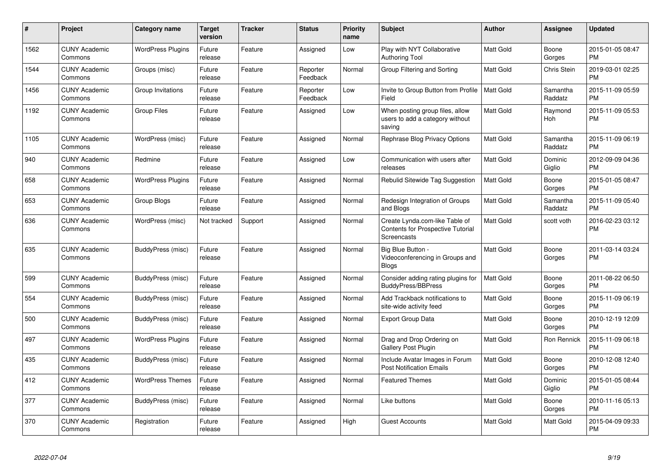| #    | Project                         | <b>Category name</b>     | <b>Target</b><br>version | <b>Tracker</b> | <b>Status</b>        | <b>Priority</b><br>name | <b>Subject</b>                                                                                   | <b>Author</b>    | <b>Assignee</b>     | <b>Updated</b>                |
|------|---------------------------------|--------------------------|--------------------------|----------------|----------------------|-------------------------|--------------------------------------------------------------------------------------------------|------------------|---------------------|-------------------------------|
| 1562 | <b>CUNY Academic</b><br>Commons | <b>WordPress Plugins</b> | Future<br>release        | Feature        | Assigned             | Low                     | Play with NYT Collaborative<br>Authoring Tool                                                    | <b>Matt Gold</b> | Boone<br>Gorges     | 2015-01-05 08:47<br><b>PM</b> |
| 1544 | <b>CUNY Academic</b><br>Commons | Groups (misc)            | Future<br>release        | Feature        | Reporter<br>Feedback | Normal                  | Group Filtering and Sorting                                                                      | <b>Matt Gold</b> | Chris Stein         | 2019-03-01 02:25<br><b>PM</b> |
| 1456 | <b>CUNY Academic</b><br>Commons | Group Invitations        | Future<br>release        | Feature        | Reporter<br>Feedback | Low                     | Invite to Group Button from Profile<br>Field                                                     | <b>Matt Gold</b> | Samantha<br>Raddatz | 2015-11-09 05:59<br><b>PM</b> |
| 1192 | <b>CUNY Academic</b><br>Commons | Group Files              | Future<br>release        | Feature        | Assigned             | Low                     | When posting group files, allow<br>users to add a category without<br>saving                     | <b>Matt Gold</b> | Raymond<br>Hoh      | 2015-11-09 05:53<br><b>PM</b> |
| 1105 | <b>CUNY Academic</b><br>Commons | WordPress (misc)         | Future<br>release        | Feature        | Assigned             | Normal                  | Rephrase Blog Privacy Options                                                                    | <b>Matt Gold</b> | Samantha<br>Raddatz | 2015-11-09 06:19<br><b>PM</b> |
| 940  | <b>CUNY Academic</b><br>Commons | Redmine                  | Future<br>release        | Feature        | Assigned             | Low                     | Communication with users after<br>releases                                                       | <b>Matt Gold</b> | Dominic<br>Giglio   | 2012-09-09 04:36<br><b>PM</b> |
| 658  | <b>CUNY Academic</b><br>Commons | <b>WordPress Plugins</b> | Future<br>release        | Feature        | Assigned             | Normal                  | <b>Rebulid Sitewide Tag Suggestion</b>                                                           | <b>Matt Gold</b> | Boone<br>Gorges     | 2015-01-05 08:47<br><b>PM</b> |
| 653  | <b>CUNY Academic</b><br>Commons | Group Blogs              | Future<br>release        | Feature        | Assigned             | Normal                  | Redesign Integration of Groups<br>and Blogs                                                      | <b>Matt Gold</b> | Samantha<br>Raddatz | 2015-11-09 05:40<br><b>PM</b> |
| 636  | <b>CUNY Academic</b><br>Commons | WordPress (misc)         | Not tracked              | Support        | Assigned             | Normal                  | Create Lynda.com-like Table of<br><b>Contents for Prospective Tutorial</b><br><b>Screencasts</b> | <b>Matt Gold</b> | scott voth          | 2016-02-23 03:12<br><b>PM</b> |
| 635  | <b>CUNY Academic</b><br>Commons | BuddyPress (misc)        | Future<br>release        | Feature        | Assigned             | Normal                  | Big Blue Button -<br>Videoconferencing in Groups and<br>Blogs                                    | <b>Matt Gold</b> | Boone<br>Gorges     | 2011-03-14 03:24<br><b>PM</b> |
| 599  | <b>CUNY Academic</b><br>Commons | BuddyPress (misc)        | Future<br>release        | Feature        | Assigned             | Normal                  | Consider adding rating plugins for<br><b>BuddyPress/BBPress</b>                                  | <b>Matt Gold</b> | Boone<br>Gorges     | 2011-08-22 06:50<br><b>PM</b> |
| 554  | <b>CUNY Academic</b><br>Commons | BuddyPress (misc)        | Future<br>release        | Feature        | Assigned             | Normal                  | Add Trackback notifications to<br>site-wide activity feed                                        | <b>Matt Gold</b> | Boone<br>Gorges     | 2015-11-09 06:19<br><b>PM</b> |
| 500  | <b>CUNY Academic</b><br>Commons | BuddyPress (misc)        | Future<br>release        | Feature        | Assigned             | Normal                  | <b>Export Group Data</b>                                                                         | <b>Matt Gold</b> | Boone<br>Gorges     | 2010-12-19 12:09<br><b>PM</b> |
| 497  | <b>CUNY Academic</b><br>Commons | <b>WordPress Plugins</b> | Future<br>release        | Feature        | Assigned             | Normal                  | Drag and Drop Ordering on<br>Gallery Post Plugin                                                 | <b>Matt Gold</b> | Ron Rennick         | 2015-11-09 06:18<br><b>PM</b> |
| 435  | <b>CUNY Academic</b><br>Commons | BuddyPress (misc)        | Future<br>release        | Feature        | Assigned             | Normal                  | Include Avatar Images in Forum<br><b>Post Notification Emails</b>                                | <b>Matt Gold</b> | Boone<br>Gorges     | 2010-12-08 12:40<br><b>PM</b> |
| 412  | <b>CUNY Academic</b><br>Commons | <b>WordPress Themes</b>  | Future<br>release        | Feature        | Assigned             | Normal                  | <b>Featured Themes</b>                                                                           | Matt Gold        | Dominic<br>Giglio   | 2015-01-05 08:44<br><b>PM</b> |
| 377  | <b>CUNY Academic</b><br>Commons | BuddyPress (misc)        | Future<br>release        | Feature        | Assigned             | Normal                  | Like buttons                                                                                     | Matt Gold        | Boone<br>Gorges     | 2010-11-16 05:13<br><b>PM</b> |
| 370  | <b>CUNY Academic</b><br>Commons | Registration             | Future<br>release        | Feature        | Assigned             | High                    | <b>Guest Accounts</b>                                                                            | Matt Gold        | Matt Gold           | 2015-04-09 09:33<br><b>PM</b> |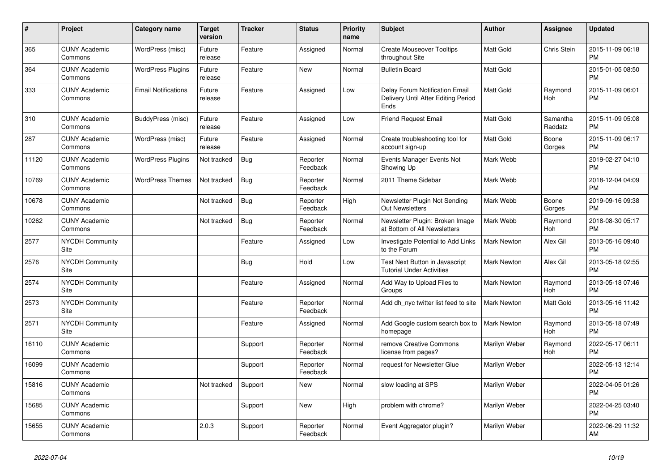| #     | Project                         | <b>Category name</b>       | <b>Target</b><br>version | <b>Tracker</b> | <b>Status</b>        | <b>Priority</b><br>name | <b>Subject</b>                                                                | <b>Author</b>      | Assignee            | <b>Updated</b>                |
|-------|---------------------------------|----------------------------|--------------------------|----------------|----------------------|-------------------------|-------------------------------------------------------------------------------|--------------------|---------------------|-------------------------------|
| 365   | <b>CUNY Academic</b><br>Commons | WordPress (misc)           | Future<br>release        | Feature        | Assigned             | Normal                  | <b>Create Mouseover Tooltips</b><br>throughout Site                           | <b>Matt Gold</b>   | Chris Stein         | 2015-11-09 06:18<br><b>PM</b> |
| 364   | <b>CUNY Academic</b><br>Commons | <b>WordPress Plugins</b>   | Future<br>release        | Feature        | New                  | Normal                  | <b>Bulletin Board</b>                                                         | Matt Gold          |                     | 2015-01-05 08:50<br><b>PM</b> |
| 333   | <b>CUNY Academic</b><br>Commons | <b>Email Notifications</b> | Future<br>release        | Feature        | Assigned             | Low                     | Delay Forum Notification Email<br>Delivery Until After Editing Period<br>Ends | <b>Matt Gold</b>   | Raymond<br>Hoh      | 2015-11-09 06:01<br><b>PM</b> |
| 310   | <b>CUNY Academic</b><br>Commons | BuddyPress (misc)          | Future<br>release        | Feature        | Assigned             | Low                     | <b>Friend Request Email</b>                                                   | <b>Matt Gold</b>   | Samantha<br>Raddatz | 2015-11-09 05:08<br><b>PM</b> |
| 287   | <b>CUNY Academic</b><br>Commons | WordPress (misc)           | Future<br>release        | Feature        | Assigned             | Normal                  | Create troubleshooting tool for<br>account sign-up                            | <b>Matt Gold</b>   | Boone<br>Gorges     | 2015-11-09 06:17<br><b>PM</b> |
| 11120 | <b>CUNY Academic</b><br>Commons | <b>WordPress Plugins</b>   | Not tracked              | Bug            | Reporter<br>Feedback | Normal                  | Events Manager Events Not<br>Showing Up                                       | Mark Webb          |                     | 2019-02-27 04:10<br><b>PM</b> |
| 10769 | <b>CUNY Academic</b><br>Commons | <b>WordPress Themes</b>    | Not tracked              | Bug            | Reporter<br>Feedback | Normal                  | 2011 Theme Sidebar                                                            | Mark Webb          |                     | 2018-12-04 04:09<br><b>PM</b> |
| 10678 | <b>CUNY Academic</b><br>Commons |                            | Not tracked              | Bug            | Reporter<br>Feedback | High                    | Newsletter Plugin Not Sending<br>Out Newsletters                              | Mark Webb          | Boone<br>Gorges     | 2019-09-16 09:38<br><b>PM</b> |
| 10262 | <b>CUNY Academic</b><br>Commons |                            | Not tracked              | Bug            | Reporter<br>Feedback | Normal                  | Newsletter Plugin: Broken Image<br>at Bottom of All Newsletters               | Mark Webb          | Raymond<br>Hoh      | 2018-08-30 05:17<br><b>PM</b> |
| 2577  | <b>NYCDH Community</b><br>Site  |                            |                          | Feature        | Assigned             | Low                     | Investigate Potential to Add Links<br>to the Forum                            | <b>Mark Newton</b> | Alex Gil            | 2013-05-16 09:40<br><b>PM</b> |
| 2576  | <b>NYCDH Community</b><br>Site  |                            |                          | Bug            | Hold                 | Low                     | Test Next Button in Javascript<br><b>Tutorial Under Activities</b>            | <b>Mark Newton</b> | Alex Gil            | 2013-05-18 02:55<br><b>PM</b> |
| 2574  | <b>NYCDH Community</b><br>Site  |                            |                          | Feature        | Assigned             | Normal                  | Add Way to Upload Files to<br>Groups                                          | <b>Mark Newton</b> | Raymond<br>Hoh      | 2013-05-18 07:46<br><b>PM</b> |
| 2573  | <b>NYCDH Community</b><br>Site  |                            |                          | Feature        | Reporter<br>Feedback | Normal                  | Add dh nyc twitter list feed to site                                          | <b>Mark Newton</b> | Matt Gold           | 2013-05-16 11:42<br><b>PM</b> |
| 2571  | <b>NYCDH Community</b><br>Site  |                            |                          | Feature        | Assigned             | Normal                  | Add Google custom search box to<br>homepage                                   | <b>Mark Newton</b> | Raymond<br>Hoh      | 2013-05-18 07:49<br><b>PM</b> |
| 16110 | <b>CUNY Academic</b><br>Commons |                            |                          | Support        | Reporter<br>Feedback | Normal                  | remove Creative Commons<br>license from pages?                                | Marilyn Weber      | Raymond<br>Hoh      | 2022-05-17 06:11<br><b>PM</b> |
| 16099 | <b>CUNY Academic</b><br>Commons |                            |                          | Support        | Reporter<br>Feedback | Normal                  | request for Newsletter Glue                                                   | Marilyn Weber      |                     | 2022-05-13 12:14<br><b>PM</b> |
| 15816 | <b>CUNY Academic</b><br>Commons |                            | Not tracked              | Support        | New                  | Normal                  | slow loading at SPS                                                           | Marilyn Weber      |                     | 2022-04-05 01:26<br><b>PM</b> |
| 15685 | <b>CUNY Academic</b><br>Commons |                            |                          | Support        | <b>New</b>           | High                    | problem with chrome?                                                          | Marilyn Weber      |                     | 2022-04-25 03:40<br><b>PM</b> |
| 15655 | <b>CUNY Academic</b><br>Commons |                            | 2.0.3                    | Support        | Reporter<br>Feedback | Normal                  | Event Aggregator plugin?                                                      | Marilyn Weber      |                     | 2022-06-29 11:32<br>AM        |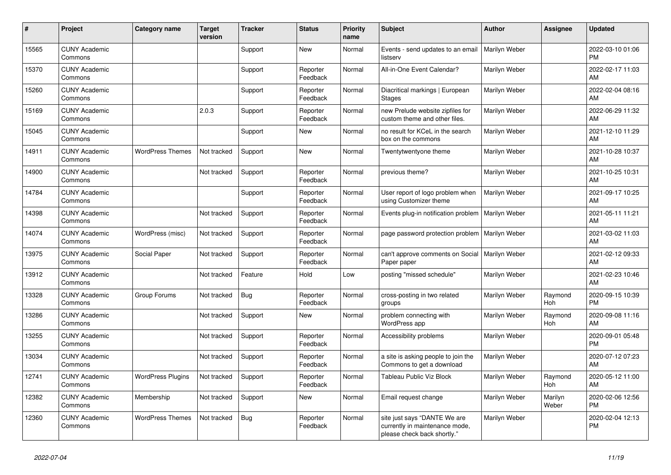| #     | Project                         | <b>Category name</b>     | <b>Target</b><br>version | <b>Tracker</b> | <b>Status</b>        | <b>Priority</b><br>name | <b>Subject</b>                                                                                | <b>Author</b> | <b>Assignee</b>  | <b>Updated</b>                |
|-------|---------------------------------|--------------------------|--------------------------|----------------|----------------------|-------------------------|-----------------------------------------------------------------------------------------------|---------------|------------------|-------------------------------|
| 15565 | <b>CUNY Academic</b><br>Commons |                          |                          | Support        | New                  | Normal                  | Events - send updates to an email<br>listserv                                                 | Marilyn Weber |                  | 2022-03-10 01:06<br><b>PM</b> |
| 15370 | <b>CUNY Academic</b><br>Commons |                          |                          | Support        | Reporter<br>Feedback | Normal                  | All-in-One Event Calendar?                                                                    | Marilyn Weber |                  | 2022-02-17 11:03<br>AM        |
| 15260 | <b>CUNY Academic</b><br>Commons |                          |                          | Support        | Reporter<br>Feedback | Normal                  | Diacritical markings   European<br><b>Stages</b>                                              | Marilyn Weber |                  | 2022-02-04 08:16<br><b>AM</b> |
| 15169 | <b>CUNY Academic</b><br>Commons |                          | 2.0.3                    | Support        | Reporter<br>Feedback | Normal                  | new Prelude website zipfiles for<br>custom theme and other files.                             | Marilyn Weber |                  | 2022-06-29 11:32<br>AM        |
| 15045 | <b>CUNY Academic</b><br>Commons |                          |                          | Support        | New                  | Normal                  | no result for KCeL in the search<br>box on the commons                                        | Marilyn Weber |                  | 2021-12-10 11:29<br><b>AM</b> |
| 14911 | <b>CUNY Academic</b><br>Commons | <b>WordPress Themes</b>  | Not tracked              | Support        | <b>New</b>           | Normal                  | Twentytwentyone theme                                                                         | Marilyn Weber |                  | 2021-10-28 10:37<br><b>AM</b> |
| 14900 | <b>CUNY Academic</b><br>Commons |                          | Not tracked              | Support        | Reporter<br>Feedback | Normal                  | previous theme?                                                                               | Marilyn Weber |                  | 2021-10-25 10:31<br>AM        |
| 14784 | <b>CUNY Academic</b><br>Commons |                          |                          | Support        | Reporter<br>Feedback | Normal                  | User report of logo problem when<br>using Customizer theme                                    | Marilyn Weber |                  | 2021-09-17 10:25<br>AM        |
| 14398 | <b>CUNY Academic</b><br>Commons |                          | Not tracked              | Support        | Reporter<br>Feedback | Normal                  | Events plug-in notification problem                                                           | Marilyn Weber |                  | 2021-05-11 11:21<br>AM        |
| 14074 | <b>CUNY Academic</b><br>Commons | WordPress (misc)         | Not tracked              | Support        | Reporter<br>Feedback | Normal                  | page password protection problem                                                              | Marilyn Weber |                  | 2021-03-02 11:03<br><b>AM</b> |
| 13975 | <b>CUNY Academic</b><br>Commons | Social Paper             | Not tracked              | Support        | Reporter<br>Feedback | Normal                  | can't approve comments on Social<br>Paper paper                                               | Marilyn Weber |                  | 2021-02-12 09:33<br>AM        |
| 13912 | <b>CUNY Academic</b><br>Commons |                          | Not tracked              | Feature        | Hold                 | Low                     | posting "missed schedule"                                                                     | Marilyn Weber |                  | 2021-02-23 10:46<br><b>AM</b> |
| 13328 | <b>CUNY Academic</b><br>Commons | Group Forums             | Not tracked              | <b>Bug</b>     | Reporter<br>Feedback | Normal                  | cross-posting in two related<br>groups                                                        | Marilyn Weber | Raymond<br>Hoh   | 2020-09-15 10:39<br><b>PM</b> |
| 13286 | <b>CUNY Academic</b><br>Commons |                          | Not tracked              | Support        | <b>New</b>           | Normal                  | problem connecting with<br><b>WordPress app</b>                                               | Marilyn Weber | Raymond<br>Hoh   | 2020-09-08 11:16<br>AM        |
| 13255 | <b>CUNY Academic</b><br>Commons |                          | Not tracked              | Support        | Reporter<br>Feedback | Normal                  | Accessibility problems                                                                        | Marilyn Weber |                  | 2020-09-01 05:48<br><b>PM</b> |
| 13034 | <b>CUNY Academic</b><br>Commons |                          | Not tracked              | Support        | Reporter<br>Feedback | Normal                  | a site is asking people to join the<br>Commons to get a download                              | Marilyn Weber |                  | 2020-07-12 07:23<br>AM        |
| 12741 | <b>CUNY Academic</b><br>Commons | <b>WordPress Plugins</b> | Not tracked              | Support        | Reporter<br>Feedback | Normal                  | Tableau Public Viz Block                                                                      | Marilyn Weber | Raymond<br>Hoh   | 2020-05-12 11:00<br><b>AM</b> |
| 12382 | <b>CUNY Academic</b><br>Commons | Membership               | Not tracked              | Support        | <b>New</b>           | Normal                  | Email request change                                                                          | Marilyn Weber | Marilyn<br>Weber | 2020-02-06 12:56<br><b>PM</b> |
| 12360 | <b>CUNY Academic</b><br>Commons | <b>WordPress Themes</b>  | Not tracked              | Bug            | Reporter<br>Feedback | Normal                  | site just says "DANTE We are<br>currently in maintenance mode,<br>please check back shortly." | Marilyn Weber |                  | 2020-02-04 12:13<br><b>PM</b> |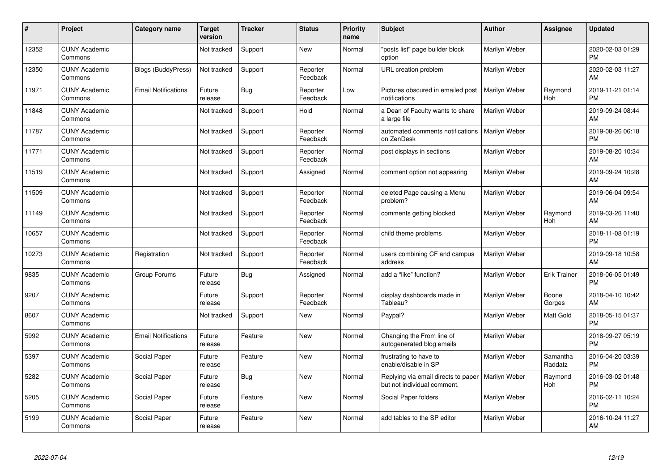| #     | Project                         | <b>Category name</b>       | <b>Target</b><br>version | <b>Tracker</b> | <b>Status</b>        | <b>Priority</b><br>name | <b>Subject</b>                                                     | <b>Author</b> | <b>Assignee</b>     | <b>Updated</b>                |
|-------|---------------------------------|----------------------------|--------------------------|----------------|----------------------|-------------------------|--------------------------------------------------------------------|---------------|---------------------|-------------------------------|
| 12352 | <b>CUNY Academic</b><br>Commons |                            | Not tracked              | Support        | <b>New</b>           | Normal                  | "posts list" page builder block<br>option                          | Marilyn Weber |                     | 2020-02-03 01:29<br><b>PM</b> |
| 12350 | <b>CUNY Academic</b><br>Commons | <b>Blogs (BuddyPress)</b>  | Not tracked              | Support        | Reporter<br>Feedback | Normal                  | URL creation problem                                               | Marilyn Weber |                     | 2020-02-03 11:27<br>AM        |
| 11971 | <b>CUNY Academic</b><br>Commons | <b>Email Notifications</b> | Future<br>release        | Bug            | Reporter<br>Feedback | Low                     | Pictures obscured in emailed post<br>notifications                 | Marilyn Weber | Raymond<br>Hoh      | 2019-11-21 01:14<br><b>PM</b> |
| 11848 | <b>CUNY Academic</b><br>Commons |                            | Not tracked              | Support        | Hold                 | Normal                  | a Dean of Faculty wants to share<br>a large file                   | Marilyn Weber |                     | 2019-09-24 08:44<br>AM        |
| 11787 | <b>CUNY Academic</b><br>Commons |                            | Not tracked              | Support        | Reporter<br>Feedback | Normal                  | automated comments notifications<br>on ZenDesk                     | Marilyn Weber |                     | 2019-08-26 06:18<br><b>PM</b> |
| 11771 | <b>CUNY Academic</b><br>Commons |                            | Not tracked              | Support        | Reporter<br>Feedback | Normal                  | post displays in sections                                          | Marilyn Weber |                     | 2019-08-20 10:34<br>AM        |
| 11519 | <b>CUNY Academic</b><br>Commons |                            | Not tracked              | Support        | Assigned             | Normal                  | comment option not appearing                                       | Marilyn Weber |                     | 2019-09-24 10:28<br>AM        |
| 11509 | <b>CUNY Academic</b><br>Commons |                            | Not tracked              | Support        | Reporter<br>Feedback | Normal                  | deleted Page causing a Menu<br>problem?                            | Marilyn Weber |                     | 2019-06-04 09:54<br>AM        |
| 11149 | <b>CUNY Academic</b><br>Commons |                            | Not tracked              | Support        | Reporter<br>Feedback | Normal                  | comments getting blocked                                           | Marilyn Weber | Raymond<br>Hoh      | 2019-03-26 11:40<br>AM        |
| 10657 | <b>CUNY Academic</b><br>Commons |                            | Not tracked              | Support        | Reporter<br>Feedback | Normal                  | child theme problems                                               | Marilyn Weber |                     | 2018-11-08 01:19<br><b>PM</b> |
| 10273 | <b>CUNY Academic</b><br>Commons | Registration               | Not tracked              | Support        | Reporter<br>Feedback | Normal                  | users combining CF and campus<br>address                           | Marilyn Weber |                     | 2019-09-18 10:58<br>AM        |
| 9835  | <b>CUNY Academic</b><br>Commons | Group Forums               | Future<br>release        | Bug            | Assigned             | Normal                  | add a "like" function?                                             | Marilyn Weber | Erik Trainer        | 2018-06-05 01:49<br><b>PM</b> |
| 9207  | <b>CUNY Academic</b><br>Commons |                            | Future<br>release        | Support        | Reporter<br>Feedback | Normal                  | display dashboards made in<br>Tableau?                             | Marilyn Weber | Boone<br>Gorges     | 2018-04-10 10:42<br>AM        |
| 8607  | <b>CUNY Academic</b><br>Commons |                            | Not tracked              | Support        | <b>New</b>           | Normal                  | Paypal?                                                            | Marilyn Weber | Matt Gold           | 2018-05-15 01:37<br><b>PM</b> |
| 5992  | <b>CUNY Academic</b><br>Commons | <b>Email Notifications</b> | Future<br>release        | Feature        | New                  | Normal                  | Changing the From line of<br>autogenerated blog emails             | Marilyn Weber |                     | 2018-09-27 05:19<br><b>PM</b> |
| 5397  | <b>CUNY Academic</b><br>Commons | Social Paper               | Future<br>release        | Feature        | New                  | Normal                  | frustrating to have to<br>enable/disable in SP                     | Marilyn Weber | Samantha<br>Raddatz | 2016-04-20 03:39<br><b>PM</b> |
| 5282  | <b>CUNY Academic</b><br>Commons | Social Paper               | Future<br>release        | Bug            | New                  | Normal                  | Replying via email directs to paper<br>but not individual comment. | Marilyn Weber | Raymond<br>Hoh      | 2016-03-02 01:48<br><b>PM</b> |
| 5205  | <b>CUNY Academic</b><br>Commons | Social Paper               | Future<br>release        | Feature        | New                  | Normal                  | Social Paper folders                                               | Marilyn Weber |                     | 2016-02-11 10:24<br><b>PM</b> |
| 5199  | <b>CUNY Academic</b><br>Commons | Social Paper               | Future<br>release        | Feature        | <b>New</b>           | Normal                  | add tables to the SP editor                                        | Marilyn Weber |                     | 2016-10-24 11:27<br>AM        |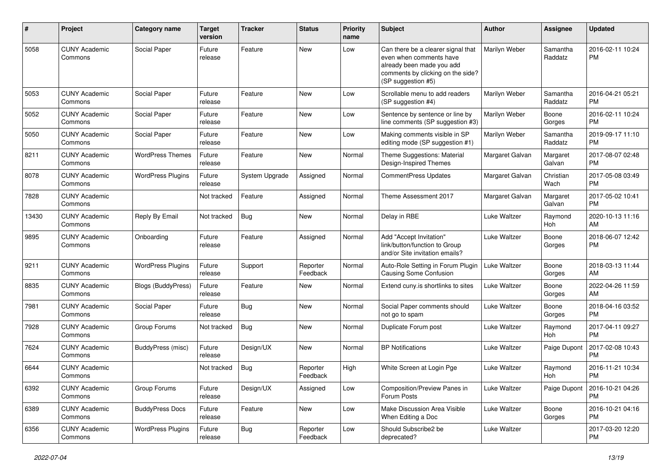| #     | Project                         | Category name             | <b>Target</b><br>version | <b>Tracker</b> | <b>Status</b>        | <b>Priority</b><br>name | Subject                                                                                                                                               | Author          | <b>Assignee</b>     | <b>Updated</b>                |
|-------|---------------------------------|---------------------------|--------------------------|----------------|----------------------|-------------------------|-------------------------------------------------------------------------------------------------------------------------------------------------------|-----------------|---------------------|-------------------------------|
| 5058  | <b>CUNY Academic</b><br>Commons | Social Paper              | Future<br>release        | Feature        | <b>New</b>           | Low                     | Can there be a clearer signal that<br>even when comments have<br>already been made you add<br>comments by clicking on the side?<br>(SP suggestion #5) | Marilyn Weber   | Samantha<br>Raddatz | 2016-02-11 10:24<br><b>PM</b> |
| 5053  | <b>CUNY Academic</b><br>Commons | Social Paper              | Future<br>release        | Feature        | New                  | Low                     | Scrollable menu to add readers<br>(SP suggestion #4)                                                                                                  | Marilyn Weber   | Samantha<br>Raddatz | 2016-04-21 05:21<br><b>PM</b> |
| 5052  | <b>CUNY Academic</b><br>Commons | Social Paper              | Future<br>release        | Feature        | <b>New</b>           | Low                     | Sentence by sentence or line by<br>line comments (SP suggestion #3)                                                                                   | Marilyn Weber   | Boone<br>Gorges     | 2016-02-11 10:24<br><b>PM</b> |
| 5050  | <b>CUNY Academic</b><br>Commons | Social Paper              | Future<br>release        | Feature        | <b>New</b>           | Low                     | Making comments visible in SP<br>editing mode (SP suggestion #1)                                                                                      | Marilyn Weber   | Samantha<br>Raddatz | 2019-09-17 11:10<br><b>PM</b> |
| 8211  | <b>CUNY Academic</b><br>Commons | <b>WordPress Themes</b>   | Future<br>release        | Feature        | New                  | Normal                  | Theme Suggestions: Material<br>Design-Inspired Themes                                                                                                 | Margaret Galvan | Margaret<br>Galvan  | 2017-08-07 02:48<br><b>PM</b> |
| 8078  | <b>CUNY Academic</b><br>Commons | <b>WordPress Plugins</b>  | Future<br>release        | System Upgrade | Assigned             | Normal                  | CommentPress Updates                                                                                                                                  | Margaret Galvan | Christian<br>Wach   | 2017-05-08 03:49<br><b>PM</b> |
| 7828  | <b>CUNY Academic</b><br>Commons |                           | Not tracked              | Feature        | Assigned             | Normal                  | Theme Assessment 2017                                                                                                                                 | Margaret Galvan | Margaret<br>Galvan  | 2017-05-02 10:41<br><b>PM</b> |
| 13430 | <b>CUNY Academic</b><br>Commons | Reply By Email            | Not tracked              | Bug            | <b>New</b>           | Normal                  | Delay in RBE                                                                                                                                          | Luke Waltzer    | Raymond<br>Hoh      | 2020-10-13 11:16<br>AM        |
| 9895  | <b>CUNY Academic</b><br>Commons | Onboarding                | Future<br>release        | Feature        | Assigned             | Normal                  | Add "Accept Invitation"<br>link/button/function to Group<br>and/or Site invitation emails?                                                            | Luke Waltzer    | Boone<br>Gorges     | 2018-06-07 12:42<br><b>PM</b> |
| 9211  | <b>CUNY Academic</b><br>Commons | <b>WordPress Plugins</b>  | Future<br>release        | Support        | Reporter<br>Feedback | Normal                  | Auto-Role Setting in Forum Plugin<br><b>Causing Some Confusion</b>                                                                                    | Luke Waltzer    | Boone<br>Gorges     | 2018-03-13 11:44<br>AM        |
| 8835  | <b>CUNY Academic</b><br>Commons | <b>Blogs (BuddyPress)</b> | Future<br>release        | Feature        | New                  | Normal                  | Extend cuny is shortlinks to sites                                                                                                                    | Luke Waltzer    | Boone<br>Gorges     | 2022-04-26 11:59<br>AM        |
| 7981  | <b>CUNY Academic</b><br>Commons | Social Paper              | Future<br>release        | Bug            | <b>New</b>           | Normal                  | Social Paper comments should<br>not go to spam                                                                                                        | Luke Waltzer    | Boone<br>Gorges     | 2018-04-16 03:52<br><b>PM</b> |
| 7928  | <b>CUNY Academic</b><br>Commons | Group Forums              | Not tracked              | Bug            | <b>New</b>           | Normal                  | Duplicate Forum post                                                                                                                                  | Luke Waltzer    | Raymond<br>Hoh      | 2017-04-11 09:27<br><b>PM</b> |
| 7624  | <b>CUNY Academic</b><br>Commons | <b>BuddyPress</b> (misc)  | Future<br>release        | Design/UX      | New                  | Normal                  | <b>BP</b> Notifications                                                                                                                               | Luke Waltzer    | Paige Dupont        | 2017-02-08 10:43<br><b>PM</b> |
| 6644  | <b>CUNY Academic</b><br>Commons |                           | Not tracked              | Bug            | Reporter<br>Feedback | High                    | White Screen at Login Pge                                                                                                                             | Luke Waltzer    | Raymond<br>Hoh      | 2016-11-21 10:34<br><b>PM</b> |
| 6392  | <b>CUNY Academic</b><br>Commons | Group Forums              | Future<br>release        | Design/UX      | Assigned             | Low                     | Composition/Preview Panes in<br>Forum Posts                                                                                                           | Luke Waltzer    | Paige Dupont        | 2016-10-21 04:26<br><b>PM</b> |
| 6389  | <b>CUNY Academic</b><br>Commons | <b>BuddyPress Docs</b>    | Future<br>release        | Feature        | New                  | Low                     | Make Discussion Area Visible<br>When Editing a Doc                                                                                                    | Luke Waltzer    | Boone<br>Gorges     | 2016-10-21 04:16<br><b>PM</b> |
| 6356  | <b>CUNY Academic</b><br>Commons | <b>WordPress Plugins</b>  | Future<br>release        | <b>Bug</b>     | Reporter<br>Feedback | Low                     | Should Subscribe2 be<br>deprecated?                                                                                                                   | Luke Waltzer    |                     | 2017-03-20 12:20<br><b>PM</b> |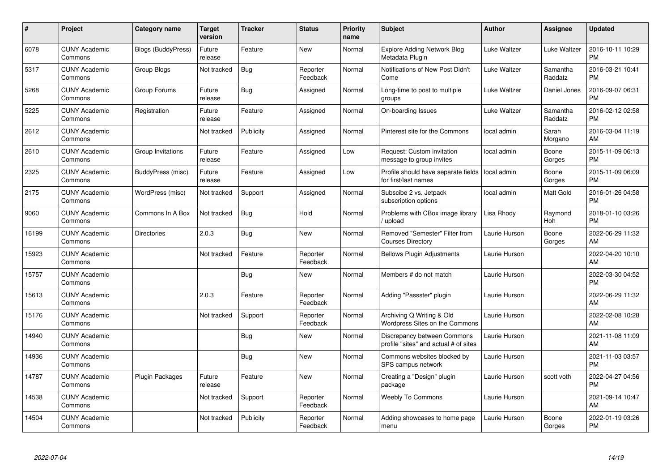| #     | Project                         | <b>Category name</b>      | Target<br>version | <b>Tracker</b> | <b>Status</b>        | <b>Priority</b><br>name | <b>Subject</b>                                                       | <b>Author</b> | <b>Assignee</b>     | <b>Updated</b>                |
|-------|---------------------------------|---------------------------|-------------------|----------------|----------------------|-------------------------|----------------------------------------------------------------------|---------------|---------------------|-------------------------------|
| 6078  | <b>CUNY Academic</b><br>Commons | <b>Blogs (BuddyPress)</b> | Future<br>release | Feature        | <b>New</b>           | Normal                  | <b>Explore Adding Network Blog</b><br>Metadata Plugin                | Luke Waltzer  | Luke Waltzer        | 2016-10-11 10:29<br><b>PM</b> |
| 5317  | <b>CUNY Academic</b><br>Commons | Group Blogs               | Not tracked       | Bug            | Reporter<br>Feedback | Normal                  | Notifications of New Post Didn't<br>Come                             | Luke Waltzer  | Samantha<br>Raddatz | 2016-03-21 10:41<br><b>PM</b> |
| 5268  | <b>CUNY Academic</b><br>Commons | Group Forums              | Future<br>release | <b>Bug</b>     | Assigned             | Normal                  | Long-time to post to multiple<br>groups                              | Luke Waltzer  | Daniel Jones        | 2016-09-07 06:31<br><b>PM</b> |
| 5225  | <b>CUNY Academic</b><br>Commons | Registration              | Future<br>release | Feature        | Assigned             | Normal                  | On-boarding Issues                                                   | Luke Waltzer  | Samantha<br>Raddatz | 2016-02-12 02:58<br><b>PM</b> |
| 2612  | <b>CUNY Academic</b><br>Commons |                           | Not tracked       | Publicity      | Assigned             | Normal                  | Pinterest site for the Commons                                       | local admin   | Sarah<br>Morgano    | 2016-03-04 11:19<br>AM        |
| 2610  | <b>CUNY Academic</b><br>Commons | Group Invitations         | Future<br>release | Feature        | Assigned             | Low                     | Request: Custom invitation<br>message to group invites               | local admin   | Boone<br>Gorges     | 2015-11-09 06:13<br><b>PM</b> |
| 2325  | <b>CUNY Academic</b><br>Commons | BuddyPress (misc)         | Future<br>release | Feature        | Assigned             | Low                     | Profile should have separate fields<br>for first/last names          | local admin   | Boone<br>Gorges     | 2015-11-09 06:09<br><b>PM</b> |
| 2175  | <b>CUNY Academic</b><br>Commons | WordPress (misc)          | Not tracked       | Support        | Assigned             | Normal                  | Subscibe 2 vs. Jetpack<br>subscription options                       | local admin   | Matt Gold           | 2016-01-26 04:58<br><b>PM</b> |
| 9060  | <b>CUNY Academic</b><br>Commons | Commons In A Box          | Not tracked       | <b>Bug</b>     | Hold                 | Normal                  | Problems with CBox image library<br>/ upload                         | Lisa Rhody    | Raymond<br>Hoh      | 2018-01-10 03:26<br><b>PM</b> |
| 16199 | <b>CUNY Academic</b><br>Commons | <b>Directories</b>        | 2.0.3             | Bug            | <b>New</b>           | Normal                  | Removed "Semester" Filter from<br><b>Courses Directory</b>           | Laurie Hurson | Boone<br>Gorges     | 2022-06-29 11:32<br>AM        |
| 15923 | <b>CUNY Academic</b><br>Commons |                           | Not tracked       | Feature        | Reporter<br>Feedback | Normal                  | <b>Bellows Plugin Adjustments</b>                                    | Laurie Hurson |                     | 2022-04-20 10:10<br>AM        |
| 15757 | <b>CUNY Academic</b><br>Commons |                           |                   | Bug            | <b>New</b>           | Normal                  | Members # do not match                                               | Laurie Hurson |                     | 2022-03-30 04:52<br><b>PM</b> |
| 15613 | <b>CUNY Academic</b><br>Commons |                           | 2.0.3             | Feature        | Reporter<br>Feedback | Normal                  | Adding "Passster" plugin                                             | Laurie Hurson |                     | 2022-06-29 11:32<br>AM        |
| 15176 | <b>CUNY Academic</b><br>Commons |                           | Not tracked       | Support        | Reporter<br>Feedback | Normal                  | Archiving Q Writing & Old<br>Wordpress Sites on the Commons          | Laurie Hurson |                     | 2022-02-08 10:28<br>AM.       |
| 14940 | <b>CUNY Academic</b><br>Commons |                           |                   | Bug            | New                  | Normal                  | Discrepancy between Commons<br>profile "sites" and actual # of sites | Laurie Hurson |                     | 2021-11-08 11:09<br>AM        |
| 14936 | <b>CUNY Academic</b><br>Commons |                           |                   | Bug            | New                  | Normal                  | Commons websites blocked by<br>SPS campus network                    | Laurie Hurson |                     | 2021-11-03 03:57<br><b>PM</b> |
| 14787 | <b>CUNY Academic</b><br>Commons | <b>Plugin Packages</b>    | Future<br>release | Feature        | New                  | Normal                  | Creating a "Design" plugin<br>package                                | Laurie Hurson | scott voth          | 2022-04-27 04:56<br><b>PM</b> |
| 14538 | <b>CUNY Academic</b><br>Commons |                           | Not tracked       | Support        | Reporter<br>Feedback | Normal                  | <b>Weebly To Commons</b>                                             | Laurie Hurson |                     | 2021-09-14 10:47<br>AM        |
| 14504 | <b>CUNY Academic</b><br>Commons |                           | Not tracked       | Publicity      | Reporter<br>Feedback | Normal                  | Adding showcases to home page<br>menu                                | Laurie Hurson | Boone<br>Gorges     | 2022-01-19 03:26<br>PM        |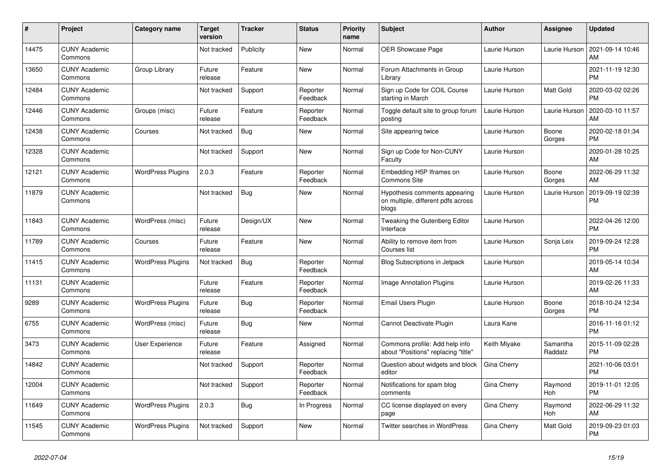| #     | Project                         | <b>Category name</b>     | <b>Target</b><br>version | <b>Tracker</b> | <b>Status</b>        | <b>Priority</b><br>name | <b>Subject</b>                                                               | <b>Author</b> | <b>Assignee</b>     | <b>Updated</b>                |
|-------|---------------------------------|--------------------------|--------------------------|----------------|----------------------|-------------------------|------------------------------------------------------------------------------|---------------|---------------------|-------------------------------|
| 14475 | <b>CUNY Academic</b><br>Commons |                          | Not tracked              | Publicity      | New                  | Normal                  | <b>OER Showcase Page</b>                                                     | Laurie Hurson | Laurie Hurson       | 2021-09-14 10:46<br>AM.       |
| 13650 | <b>CUNY Academic</b><br>Commons | Group Library            | Future<br>release        | Feature        | New                  | Normal                  | Forum Attachments in Group<br>Library                                        | Laurie Hurson |                     | 2021-11-19 12:30<br><b>PM</b> |
| 12484 | <b>CUNY Academic</b><br>Commons |                          | Not tracked              | Support        | Reporter<br>Feedback | Normal                  | Sign up Code for COIL Course<br>starting in March                            | Laurie Hurson | Matt Gold           | 2020-03-02 02:26<br><b>PM</b> |
| 12446 | <b>CUNY Academic</b><br>Commons | Groups (misc)            | Future<br>release        | Feature        | Reporter<br>Feedback | Normal                  | Toggle default site to group forum<br>posting                                | Laurie Hurson | Laurie Hurson       | 2020-03-10 11:57<br>AM        |
| 12438 | <b>CUNY Academic</b><br>Commons | Courses                  | Not tracked              | Bug            | New                  | Normal                  | Site appearing twice                                                         | Laurie Hurson | Boone<br>Gorges     | 2020-02-18 01:34<br><b>PM</b> |
| 12328 | <b>CUNY Academic</b><br>Commons |                          | Not tracked              | Support        | New                  | Normal                  | Sign up Code for Non-CUNY<br>Faculty                                         | Laurie Hurson |                     | 2020-01-28 10:25<br><b>AM</b> |
| 12121 | <b>CUNY Academic</b><br>Commons | <b>WordPress Plugins</b> | 2.0.3                    | Feature        | Reporter<br>Feedback | Normal                  | Embedding H5P Iframes on<br><b>Commons Site</b>                              | Laurie Hurson | Boone<br>Gorges     | 2022-06-29 11:32<br>AM        |
| 11879 | <b>CUNY Academic</b><br>Commons |                          | Not tracked              | Bug            | <b>New</b>           | Normal                  | Hypothesis comments appearing<br>on multiple, different pdfs across<br>blogs | Laurie Hurson | Laurie Hurson       | 2019-09-19 02:39<br><b>PM</b> |
| 11843 | <b>CUNY Academic</b><br>Commons | WordPress (misc)         | Future<br>release        | Design/UX      | <b>New</b>           | Normal                  | Tweaking the Gutenberg Editor<br>Interface                                   | Laurie Hurson |                     | 2022-04-26 12:00<br><b>PM</b> |
| 11789 | <b>CUNY Academic</b><br>Commons | Courses                  | Future<br>release        | Feature        | New                  | Normal                  | Ability to remove item from<br>Courses list                                  | Laurie Hurson | Sonja Leix          | 2019-09-24 12:28<br><b>PM</b> |
| 11415 | <b>CUNY Academic</b><br>Commons | <b>WordPress Plugins</b> | Not tracked              | Bug            | Reporter<br>Feedback | Normal                  | Blog Subscriptions in Jetpack                                                | Laurie Hurson |                     | 2019-05-14 10:34<br><b>AM</b> |
| 11131 | <b>CUNY Academic</b><br>Commons |                          | Future<br>release        | Feature        | Reporter<br>Feedback | Normal                  | Image Annotation Plugins                                                     | Laurie Hurson |                     | 2019-02-26 11:33<br>AM        |
| 9289  | <b>CUNY Academic</b><br>Commons | <b>WordPress Plugins</b> | Future<br>release        | Bug            | Reporter<br>Feedback | Normal                  | Email Users Plugin                                                           | Laurie Hurson | Boone<br>Gorges     | 2018-10-24 12:34<br><b>PM</b> |
| 6755  | <b>CUNY Academic</b><br>Commons | WordPress (misc)         | Future<br>release        | Bug            | New                  | Normal                  | Cannot Deactivate Plugin                                                     | Laura Kane    |                     | 2016-11-16 01:12<br><b>PM</b> |
| 3473  | <b>CUNY Academic</b><br>Commons | User Experience          | Future<br>release        | Feature        | Assigned             | Normal                  | Commons profile: Add help info<br>about "Positions" replacing "title"        | Keith Miyake  | Samantha<br>Raddatz | 2015-11-09 02:28<br><b>PM</b> |
| 14842 | <b>CUNY Academic</b><br>Commons |                          | Not tracked              | Support        | Reporter<br>Feedback | Normal                  | Question about widgets and block<br>editor                                   | Gina Cherry   |                     | 2021-10-06 03:01<br><b>PM</b> |
| 12004 | <b>CUNY Academic</b><br>Commons |                          | Not tracked              | Support        | Reporter<br>Feedback | Normal                  | Notifications for spam blog<br>comments                                      | Gina Cherry   | Raymond<br>Hoh      | 2019-11-01 12:05<br><b>PM</b> |
| 11649 | <b>CUNY Academic</b><br>Commons | <b>WordPress Plugins</b> | 2.0.3                    | <b>Bug</b>     | In Progress          | Normal                  | CC license displayed on every<br>page                                        | Gina Cherry   | Raymond<br>Hoh      | 2022-06-29 11:32<br>AM        |
| 11545 | <b>CUNY Academic</b><br>Commons | <b>WordPress Plugins</b> | Not tracked              | Support        | <b>New</b>           | Normal                  | <b>Twitter searches in WordPress</b>                                         | Gina Cherry   | Matt Gold           | 2019-09-23 01:03<br><b>PM</b> |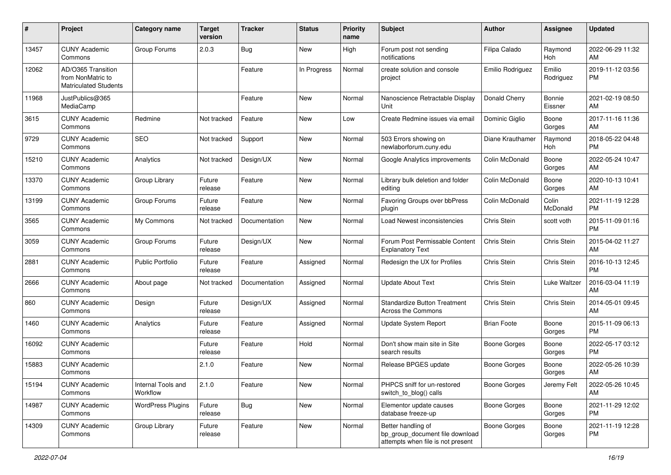| #     | Project                                                                 | <b>Category name</b>           | <b>Target</b><br>version | <b>Tracker</b> | <b>Status</b> | Priority<br>name | <b>Subject</b>                                                                             | <b>Author</b>       | <b>Assignee</b>     | <b>Updated</b>                |
|-------|-------------------------------------------------------------------------|--------------------------------|--------------------------|----------------|---------------|------------------|--------------------------------------------------------------------------------------------|---------------------|---------------------|-------------------------------|
| 13457 | <b>CUNY Academic</b><br>Commons                                         | Group Forums                   | 2.0.3                    | Bug            | <b>New</b>    | High             | Forum post not sending<br>notifications                                                    | Filipa Calado       | Raymond<br>Hoh      | 2022-06-29 11:32<br>AM.       |
| 12062 | AD/O365 Transition<br>from NonMatric to<br><b>Matriculated Students</b> |                                |                          | Feature        | In Progress   | Normal           | create solution and console<br>project                                                     | Emilio Rodriguez    | Emilio<br>Rodriguez | 2019-11-12 03:56<br><b>PM</b> |
| 11968 | JustPublics@365<br>MediaCamp                                            |                                |                          | Feature        | New           | Normal           | Nanoscience Retractable Display<br>Unit                                                    | Donald Cherry       | Bonnie<br>Eissner   | 2021-02-19 08:50<br>AM.       |
| 3615  | <b>CUNY Academic</b><br>Commons                                         | Redmine                        | Not tracked              | Feature        | New           | Low              | Create Redmine issues via email                                                            | Dominic Giglio      | Boone<br>Gorges     | 2017-11-16 11:36<br>AM        |
| 9729  | <b>CUNY Academic</b><br>Commons                                         | <b>SEO</b>                     | Not tracked              | Support        | New           | Normal           | 503 Errors showing on<br>newlaborforum.cuny.edu                                            | Diane Krauthamer    | Raymond<br>Hoh      | 2018-05-22 04:48<br><b>PM</b> |
| 15210 | <b>CUNY Academic</b><br>Commons                                         | Analytics                      | Not tracked              | Design/UX      | New           | Normal           | Google Analytics improvements                                                              | Colin McDonald      | Boone<br>Gorges     | 2022-05-24 10:47<br>AM        |
| 13370 | <b>CUNY Academic</b><br>Commons                                         | Group Library                  | Future<br>release        | Feature        | New           | Normal           | Library bulk deletion and folder<br>editing                                                | Colin McDonald      | Boone<br>Gorges     | 2020-10-13 10:41<br>AM.       |
| 13199 | <b>CUNY Academic</b><br>Commons                                         | Group Forums                   | Future<br>release        | Feature        | New           | Normal           | Favoring Groups over bbPress<br>plugin                                                     | Colin McDonald      | Colin<br>McDonald   | 2021-11-19 12:28<br><b>PM</b> |
| 3565  | <b>CUNY Academic</b><br>Commons                                         | My Commons                     | Not tracked              | Documentation  | New           | Normal           | Load Newest inconsistencies                                                                | Chris Stein         | scott voth          | 2015-11-09 01:16<br><b>PM</b> |
| 3059  | <b>CUNY Academic</b><br>Commons                                         | Group Forums                   | Future<br>release        | Design/UX      | New           | Normal           | Forum Post Permissable Content<br><b>Explanatory Text</b>                                  | Chris Stein         | Chris Stein         | 2015-04-02 11:27<br>AM        |
| 2881  | <b>CUNY Academic</b><br>Commons                                         | <b>Public Portfolio</b>        | Future<br>release        | Feature        | Assigned      | Normal           | Redesign the UX for Profiles                                                               | Chris Stein         | Chris Stein         | 2016-10-13 12:45<br><b>PM</b> |
| 2666  | <b>CUNY Academic</b><br>Commons                                         | About page                     | Not tracked              | Documentation  | Assigned      | Normal           | <b>Update About Text</b>                                                                   | Chris Stein         | Luke Waltzer        | 2016-03-04 11:19<br>AM.       |
| 860   | <b>CUNY Academic</b><br>Commons                                         | Design                         | Future<br>release        | Design/UX      | Assigned      | Normal           | <b>Standardize Button Treatment</b><br>Across the Commons                                  | Chris Stein         | Chris Stein         | 2014-05-01 09:45<br>AM        |
| 1460  | <b>CUNY Academic</b><br>Commons                                         | Analytics                      | Future<br>release        | Feature        | Assigned      | Normal           | <b>Update System Report</b>                                                                | <b>Brian Foote</b>  | Boone<br>Gorges     | 2015-11-09 06:13<br><b>PM</b> |
| 16092 | <b>CUNY Academic</b><br>Commons                                         |                                | Future<br>release        | Feature        | Hold          | Normal           | Don't show main site in Site<br>search results                                             | <b>Boone Gorges</b> | Boone<br>Gorges     | 2022-05-17 03:12<br><b>PM</b> |
| 15883 | <b>CUNY Academic</b><br>Commons                                         |                                | 2.1.0                    | Feature        | New           | Normal           | Release BPGES update                                                                       | Boone Gorges        | Boone<br>Gorges     | 2022-05-26 10:39<br>AM        |
| 15194 | <b>CUNY Academic</b><br>Commons                                         | Internal Tools and<br>Workflow | 2.1.0                    | Feature        | New           | Normal           | PHPCS sniff for un-restored<br>switch_to_blog() calls                                      | Boone Gorges        | Jeremy Felt         | 2022-05-26 10:45<br>AM        |
| 14987 | <b>CUNY Academic</b><br>Commons                                         | <b>WordPress Plugins</b>       | Future<br>release        | <b>Bug</b>     | New           | Normal           | Elementor update causes<br>database freeze-up                                              | Boone Gorges        | Boone<br>Gorges     | 2021-11-29 12:02<br><b>PM</b> |
| 14309 | <b>CUNY Academic</b><br>Commons                                         | Group Library                  | Future<br>release        | Feature        | New           | Normal           | Better handling of<br>bp_group_document file download<br>attempts when file is not present | <b>Boone Gorges</b> | Boone<br>Gorges     | 2021-11-19 12:28<br><b>PM</b> |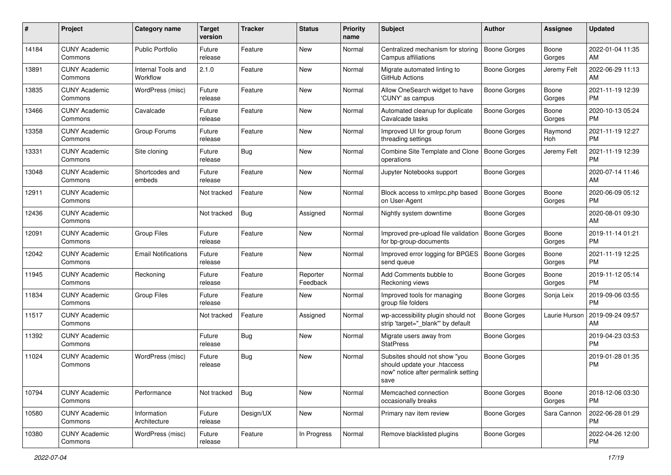| #     | Project                         | Category name                  | <b>Target</b><br>version | <b>Tracker</b> | <b>Status</b>        | Priority<br>name | <b>Subject</b>                                                                                               | Author              | <b>Assignee</b> | <b>Updated</b>                |
|-------|---------------------------------|--------------------------------|--------------------------|----------------|----------------------|------------------|--------------------------------------------------------------------------------------------------------------|---------------------|-----------------|-------------------------------|
| 14184 | <b>CUNY Academic</b><br>Commons | Public Portfolio               | Future<br>release        | Feature        | <b>New</b>           | Normal           | Centralized mechanism for storing<br>Campus affiliations                                                     | <b>Boone Gorges</b> | Boone<br>Gorges | 2022-01-04 11:35<br>AM.       |
| 13891 | <b>CUNY Academic</b><br>Commons | Internal Tools and<br>Workflow | 2.1.0                    | Feature        | New                  | Normal           | Migrate automated linting to<br>GitHub Actions                                                               | Boone Gorges        | Jeremy Felt     | 2022-06-29 11:13<br>AM        |
| 13835 | <b>CUNY Academic</b><br>Commons | WordPress (misc)               | Future<br>release        | Feature        | <b>New</b>           | Normal           | Allow OneSearch widget to have<br>'CUNY' as campus                                                           | Boone Gorges        | Boone<br>Gorges | 2021-11-19 12:39<br><b>PM</b> |
| 13466 | <b>CUNY Academic</b><br>Commons | Cavalcade                      | Future<br>release        | Feature        | <b>New</b>           | Normal           | Automated cleanup for duplicate<br>Cavalcade tasks                                                           | Boone Gorges        | Boone<br>Gorges | 2020-10-13 05:24<br><b>PM</b> |
| 13358 | <b>CUNY Academic</b><br>Commons | Group Forums                   | Future<br>release        | Feature        | <b>New</b>           | Normal           | Improved UI for group forum<br>threading settings                                                            | Boone Gorges        | Raymond<br>Hoh  | 2021-11-19 12:27<br><b>PM</b> |
| 13331 | <b>CUNY Academic</b><br>Commons | Site cloning                   | Future<br>release        | Bug            | New                  | Normal           | Combine Site Template and Clone<br>operations                                                                | Boone Gorges        | Jeremy Felt     | 2021-11-19 12:39<br><b>PM</b> |
| 13048 | <b>CUNY Academic</b><br>Commons | Shortcodes and<br>embeds       | Future<br>release        | Feature        | New                  | Normal           | Jupyter Notebooks support                                                                                    | Boone Gorges        |                 | 2020-07-14 11:46<br>AM        |
| 12911 | <b>CUNY Academic</b><br>Commons |                                | Not tracked              | Feature        | <b>New</b>           | Normal           | Block access to xmlrpc.php based<br>on User-Agent                                                            | <b>Boone Gorges</b> | Boone<br>Gorges | 2020-06-09 05:12<br>PM.       |
| 12436 | <b>CUNY Academic</b><br>Commons |                                | Not tracked              | <b>Bug</b>     | Assigned             | Normal           | Nightly system downtime                                                                                      | Boone Gorges        |                 | 2020-08-01 09:30<br>AM        |
| 12091 | <b>CUNY Academic</b><br>Commons | <b>Group Files</b>             | Future<br>release        | Feature        | <b>New</b>           | Normal           | Improved pre-upload file validation<br>for bp-group-documents                                                | Boone Gorges        | Boone<br>Gorges | 2019-11-14 01:21<br><b>PM</b> |
| 12042 | <b>CUNY Academic</b><br>Commons | <b>Email Notifications</b>     | Future<br>release        | Feature        | <b>New</b>           | Normal           | Improved error logging for BPGES<br>send queue                                                               | Boone Gorges        | Boone<br>Gorges | 2021-11-19 12:25<br><b>PM</b> |
| 11945 | <b>CUNY Academic</b><br>Commons | Reckoning                      | Future<br>release        | Feature        | Reporter<br>Feedback | Normal           | Add Comments bubble to<br>Reckoning views                                                                    | Boone Gorges        | Boone<br>Gorges | 2019-11-12 05:14<br><b>PM</b> |
| 11834 | <b>CUNY Academic</b><br>Commons | <b>Group Files</b>             | Future<br>release        | Feature        | New                  | Normal           | Improved tools for managing<br>group file folders                                                            | Boone Gorges        | Sonja Leix      | 2019-09-06 03:55<br><b>PM</b> |
| 11517 | <b>CUNY Academic</b><br>Commons |                                | Not tracked              | Feature        | Assigned             | Normal           | wp-accessibility plugin should not<br>strip 'target="_blank"' by default                                     | Boone Gorges        | Laurie Hurson   | 2019-09-24 09:57<br>AM        |
| 11392 | <b>CUNY Academic</b><br>Commons |                                | Future<br>release        | Bug            | New                  | Normal           | Migrate users away from<br><b>StatPress</b>                                                                  | <b>Boone Gorges</b> |                 | 2019-04-23 03:53<br><b>PM</b> |
| 11024 | <b>CUNY Academic</b><br>Commons | WordPress (misc)               | Future<br>release        | Bug            | New                  | Normal           | Subsites should not show "you<br>should update your .htaccess<br>now" notice after permalink setting<br>save | <b>Boone Gorges</b> |                 | 2019-01-28 01:35<br><b>PM</b> |
| 10794 | <b>CUNY Academic</b><br>Commons | Performance                    | Not tracked              | Bug            | New                  | Normal           | Memcached connection<br>occasionally breaks                                                                  | Boone Gorges        | Boone<br>Gorges | 2018-12-06 03:30<br>PM        |
| 10580 | <b>CUNY Academic</b><br>Commons | Information<br>Architecture    | Future<br>release        | Design/UX      | New                  | Normal           | Primary nav item review                                                                                      | Boone Gorges        | Sara Cannon     | 2022-06-28 01:29<br><b>PM</b> |
| 10380 | <b>CUNY Academic</b><br>Commons | WordPress (misc)               | Future<br>release        | Feature        | In Progress          | Normal           | Remove blacklisted plugins                                                                                   | Boone Gorges        |                 | 2022-04-26 12:00<br><b>PM</b> |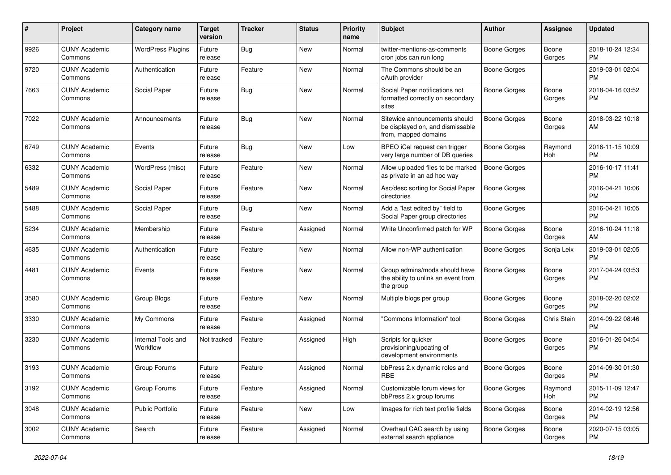| #    | Project                         | <b>Category name</b>           | <b>Target</b><br>version | Tracker    | <b>Status</b> | <b>Priority</b><br>name | Subject                                                                                   | Author              | <b>Assignee</b> | <b>Updated</b>                |
|------|---------------------------------|--------------------------------|--------------------------|------------|---------------|-------------------------|-------------------------------------------------------------------------------------------|---------------------|-----------------|-------------------------------|
| 9926 | <b>CUNY Academic</b><br>Commons | <b>WordPress Plugins</b>       | Future<br>release        | <b>Bug</b> | <b>New</b>    | Normal                  | twitter-mentions-as-comments<br>cron jobs can run long                                    | <b>Boone Gorges</b> | Boone<br>Gorges | 2018-10-24 12:34<br><b>PM</b> |
| 9720 | <b>CUNY Academic</b><br>Commons | Authentication                 | Future<br>release        | Feature    | New           | Normal                  | The Commons should be an<br>oAuth provider                                                | <b>Boone Gorges</b> |                 | 2019-03-01 02:04<br><b>PM</b> |
| 7663 | <b>CUNY Academic</b><br>Commons | Social Paper                   | Future<br>release        | Bug        | <b>New</b>    | Normal                  | Social Paper notifications not<br>formatted correctly on secondary<br>sites               | <b>Boone Gorges</b> | Boone<br>Gorges | 2018-04-16 03:52<br><b>PM</b> |
| 7022 | <b>CUNY Academic</b><br>Commons | Announcements                  | Future<br>release        | <b>Bug</b> | <b>New</b>    | Normal                  | Sitewide announcements should<br>be displayed on, and dismissable<br>from, mapped domains | <b>Boone Gorges</b> | Boone<br>Gorges | 2018-03-22 10:18<br>AM        |
| 6749 | <b>CUNY Academic</b><br>Commons | Events                         | Future<br>release        | Bug        | <b>New</b>    | Low                     | BPEO iCal request can trigger<br>very large number of DB queries                          | Boone Gorges        | Raymond<br>Hoh  | 2016-11-15 10:09<br><b>PM</b> |
| 6332 | <b>CUNY Academic</b><br>Commons | WordPress (misc)               | Future<br>release        | Feature    | <b>New</b>    | Normal                  | Allow uploaded files to be marked<br>as private in an ad hoc way                          | <b>Boone Gorges</b> |                 | 2016-10-17 11:41<br><b>PM</b> |
| 5489 | <b>CUNY Academic</b><br>Commons | Social Paper                   | Future<br>release        | Feature    | <b>New</b>    | Normal                  | Asc/desc sorting for Social Paper<br>directories                                          | <b>Boone Gorges</b> |                 | 2016-04-21 10:06<br><b>PM</b> |
| 5488 | <b>CUNY Academic</b><br>Commons | Social Paper                   | Future<br>release        | Bug        | <b>New</b>    | Normal                  | Add a "last edited by" field to<br>Social Paper group directories                         | <b>Boone Gorges</b> |                 | 2016-04-21 10:05<br><b>PM</b> |
| 5234 | <b>CUNY Academic</b><br>Commons | Membership                     | Future<br>release        | Feature    | Assigned      | Normal                  | Write Unconfirmed patch for WP                                                            | <b>Boone Gorges</b> | Boone<br>Gorges | 2016-10-24 11:18<br>AM        |
| 4635 | <b>CUNY Academic</b><br>Commons | Authentication                 | Future<br>release        | Feature    | <b>New</b>    | Normal                  | Allow non-WP authentication                                                               | <b>Boone Gorges</b> | Sonja Leix      | 2019-03-01 02:05<br><b>PM</b> |
| 4481 | <b>CUNY Academic</b><br>Commons | Events                         | Future<br>release        | Feature    | <b>New</b>    | Normal                  | Group admins/mods should have<br>the ability to unlink an event from<br>the group         | <b>Boone Gorges</b> | Boone<br>Gorges | 2017-04-24 03:53<br><b>PM</b> |
| 3580 | <b>CUNY Academic</b><br>Commons | Group Blogs                    | Future<br>release        | Feature    | <b>New</b>    | Normal                  | Multiple blogs per group                                                                  | Boone Gorges        | Boone<br>Gorges | 2018-02-20 02:02<br><b>PM</b> |
| 3330 | <b>CUNY Academic</b><br>Commons | My Commons                     | Future<br>release        | Feature    | Assigned      | Normal                  | 'Commons Information" tool                                                                | <b>Boone Gorges</b> | Chris Stein     | 2014-09-22 08:46<br><b>PM</b> |
| 3230 | <b>CUNY Academic</b><br>Commons | Internal Tools and<br>Workflow | Not tracked              | Feature    | Assigned      | High                    | Scripts for quicker<br>provisioning/updating of<br>development environments               | Boone Gorges        | Boone<br>Gorges | 2016-01-26 04:54<br><b>PM</b> |
| 3193 | <b>CUNY Academic</b><br>Commons | Group Forums                   | Future<br>release        | Feature    | Assigned      | Normal                  | bbPress 2.x dynamic roles and<br><b>RBE</b>                                               | Boone Gorges        | Boone<br>Gorges | 2014-09-30 01:30<br><b>PM</b> |
| 3192 | <b>CUNY Academic</b><br>Commons | Group Forums                   | Future<br>release        | Feature    | Assigned      | Normal                  | Customizable forum views for<br>bbPress 2.x group forums                                  | <b>Boone Gorges</b> | Raymond<br>Hoh  | 2015-11-09 12:47<br><b>PM</b> |
| 3048 | <b>CUNY Academic</b><br>Commons | Public Portfolio               | Future<br>release        | Feature    | New           | Low                     | Images for rich text profile fields                                                       | <b>Boone Gorges</b> | Boone<br>Gorges | 2014-02-19 12:56<br><b>PM</b> |
| 3002 | <b>CUNY Academic</b><br>Commons | Search                         | Future<br>release        | Feature    | Assigned      | Normal                  | Overhaul CAC search by using<br>external search appliance                                 | Boone Gorges        | Boone<br>Gorges | 2020-07-15 03:05<br>PM        |